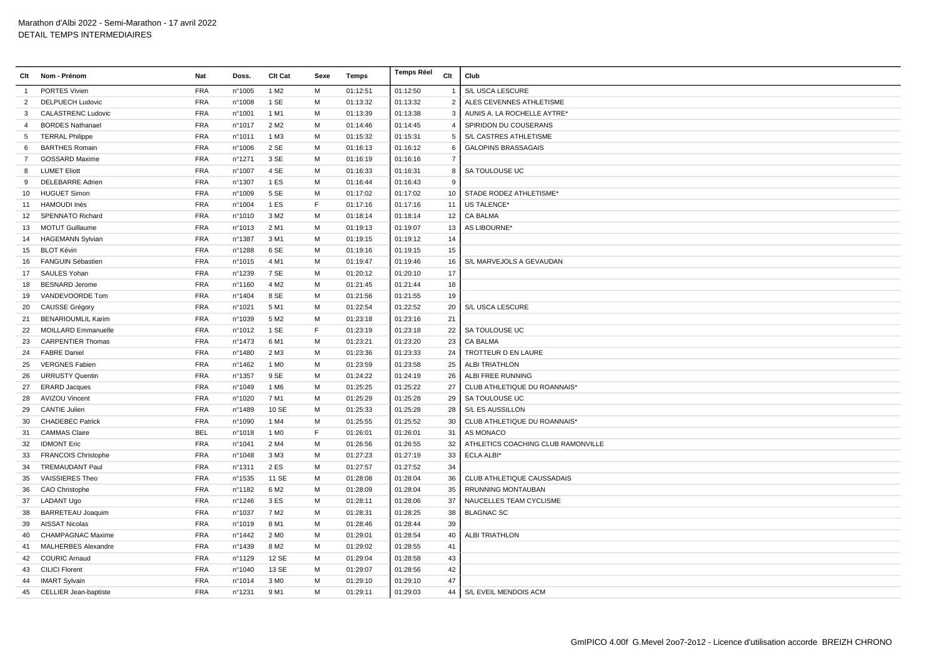| Clt             | Nom - Prénom               | Nat        | Doss.  | <b>Clt Cat</b>   | Sexe | <b>Temps</b> | <b>Temps Réel</b> | Clt            | Club                               |
|-----------------|----------------------------|------------|--------|------------------|------|--------------|-------------------|----------------|------------------------------------|
| $\mathbf{1}$    | PORTES Vivien              | <b>FRA</b> | n°1005 | 1 M <sub>2</sub> | M    | 01:12:51     | 01:12:50          |                | S/L USCA LESCURE                   |
| $\overline{2}$  | <b>DELPUECH Ludovic</b>    | <b>FRA</b> | n°1008 | 1 SE             | M    | 01:13:32     | 01:13:32          | $\overline{2}$ | ALES CEVENNES ATHLETISME           |
| 3               | <b>CALASTRENC Ludovic</b>  | <b>FRA</b> | n°1001 | 1 M1             | M    | 01:13:39     | 01:13:38          | 3              | AUNIS A. LA ROCHELLE AYTRE*        |
| $\overline{4}$  | <b>BORDES Nathanael</b>    | <b>FRA</b> | n°1017 | 2 M <sub>2</sub> | M    | 01:14:46     | 01:14:45          | $\overline{4}$ | SPIRIDON DU COUSERANS              |
| $5\overline{)}$ | <b>TERRAL Philippe</b>     | <b>FRA</b> | n°1011 | 1 M3             | M    | 01:15:32     | 01:15:31          | 5              | S/L CASTRES ATHLETISME             |
| 6               | <b>BARTHES Romain</b>      | <b>FRA</b> | n°1006 | 2 SE             | M    | 01:16:13     | 01:16:12          | -6             | <b>GALOPINS BRASSAGAIS</b>         |
| $\overline{7}$  | <b>GOSSARD Maxime</b>      | <b>FRA</b> | n°1271 | 3 SE             | M    | 01:16:19     | 01:16:16          | $\overline{7}$ |                                    |
| 8               | <b>LUMET Eliott</b>        | <b>FRA</b> | n°1007 | 4 SE             | M    | 01:16:33     | 01:16:31          | 8              | SA TOULOUSE UC                     |
| 9               | <b>DELEBARRE Adrien</b>    | <b>FRA</b> | n°1307 | 1 ES             | M    | 01:16:44     | 01:16:43          | 9              |                                    |
| 10              | <b>HUGUET Simon</b>        | <b>FRA</b> | n°1009 | 5 SE             | M    | 01:17:02     | 01:17:02          | 10             | STADE RODEZ ATHLETISME*            |
| 11              | <b>HAMOUDI Inès</b>        | <b>FRA</b> | n°1004 | 1 ES             | F    | 01:17:16     | 01:17:16          | 11             | US TALENCE*                        |
| 12              | SPENNATO Richard           | <b>FRA</b> | n°1010 | 3 M <sub>2</sub> | M    | 01:18:14     | 01:18:14          | 12             | <b>CA BALMA</b>                    |
| 13              | <b>MOTUT Guillaume</b>     | <b>FRA</b> | n°1013 | 2 M1             | M    | 01:19:13     | 01:19:07          | 13             | AS LIBOURNE*                       |
| 14              | <b>HAGEMANN Sylvian</b>    | <b>FRA</b> | n°1387 | 3 M1             | M    | 01:19:15     | 01:19:12          | 14             |                                    |
| 15              | <b>BLOT Kévin</b>          | <b>FRA</b> | n°1288 | 6 SE             | M    | 01:19:16     | 01:19:15          | 15             |                                    |
| 16              | <b>FANGUIN Sébastien</b>   | <b>FRA</b> | n°1015 | 4 M1             | M    | 01:19:47     | 01:19:46          | 16             | S/L MARVEJOLS A GEVAUDAN           |
| 17              | SAULES Yohan               | <b>FRA</b> | n°1239 | 7 SE             | M    | 01:20:12     | 01:20:10          | 17             |                                    |
| 18              | <b>BESNARD Jerome</b>      | <b>FRA</b> | n°1160 | 4 M <sub>2</sub> | M    | 01:21:45     | 01:21:44          | 18             |                                    |
| 19              | VANDEVOORDE Tom            | <b>FRA</b> | nº1404 | 8 SE             | M    | 01:21:56     | 01:21:55          | 19             |                                    |
| 20              | CAUSSE Grégory             | <b>FRA</b> | n°1021 | 5 M1             | M    | 01:22:54     | 01:22:52          | 20             | S/L USCA LESCURE                   |
| 21              | <b>BENARIOUMLIL Karim</b>  | <b>FRA</b> | n°1039 | 5 M <sub>2</sub> | M    | 01:23:18     | 01:23:16          | 21             |                                    |
| 22              | <b>MOILLARD Emmanuelle</b> | <b>FRA</b> | n°1012 | 1 SE             | E    | 01:23:19     | 01:23:18          | 22             | SA TOULOUSE UC                     |
| 23              | <b>CARPENTIER Thomas</b>   | <b>FRA</b> | n°1473 | 6 M1             | M    | 01:23:21     | 01:23:20          | 23             | <b>CA BALMA</b>                    |
| 24              | <b>FABRE Daniel</b>        | <b>FRA</b> | n°1480 | 2 M3             | M    | 01:23:36     | 01:23:33          | 24             | TROTTEUR D EN LAURE                |
| 25              | <b>VERGNES Fabien</b>      | <b>FRA</b> | n°1462 | 1 M <sub>0</sub> | М    | 01:23:59     | 01:23:58          | 25             | <b>ALBI TRIATHLON</b>              |
| 26              | <b>URRUSTY Quentin</b>     | <b>FRA</b> | n°1357 | 9 SE             | M    | 01:24:22     | 01:24:19          | 26             | ALBI FREE RUNNING                  |
| 27              | <b>ERARD Jacques</b>       | <b>FRA</b> | n°1049 | 1 M <sub>6</sub> | M    | 01:25:25     | 01:25:22          | 27             | CLUB ATHLETIQUE DU ROANNAIS*       |
| 28              | <b>AVIZOU Vincent</b>      | <b>FRA</b> | n°1020 | 7 M1             | M    | 01:25:29     | 01:25:28          | 29             | SA TOULOUSE UC                     |
| 29              | <b>CANTIE Julien</b>       | <b>FRA</b> | n°1489 | 10 SE            | M    | 01:25:33     | 01:25:28          | 28             | S/L ES AUSSILLON                   |
| 30              | <b>CHADEBEC Patrick</b>    | <b>FRA</b> | n°1090 | 1 M4             | M    | 01:25:55     | 01:25:52          | 30             | CLUB ATHLETIQUE DU ROANNAIS*       |
| 31              | <b>CAMMAS Claire</b>       | <b>BEL</b> | n°1018 | 1 M <sub>0</sub> | F.   | 01:26:01     | 01:26:01          | 31             | AS MONACO                          |
| 32              | <b>IDMONT Eric</b>         | <b>FRA</b> | n°1041 | 2 M4             | M    | 01:26:56     | 01:26:55          | 32             | ATHLETICS COACHING CLUB RAMONVILLE |
| 33              | <b>FRANCOIS Christophe</b> | <b>FRA</b> | n°1048 | 3 M3             | M    | 01:27:23     | 01:27:19          | 33             | <b>ECLA ALBI'</b>                  |
| 34              | <b>TREMAUDANT Paul</b>     | <b>FRA</b> | n°1311 | 2 ES             | M    | 01:27:57     | 01:27:52          | 34             |                                    |
| 35              | VAISSIERES Theo            | <b>FRA</b> | n°1535 | 11 SE            | M    | 01:28:08     | 01:28:04          | 36             | CLUB ATHLETIQUE CAUSSADAIS         |
| 36              | CAO Christophe             | <b>FRA</b> | n°1182 | 6 M <sub>2</sub> | M    | 01:28:09     | 01:28:04          | 35             | RRUNNING MONTAUBAN                 |
| 37              | LADANT Ugo                 | <b>FRA</b> | n°1246 | 3 ES             | M    | 01:28:11     | 01:28:06          | 37             | NAUCELLES TEAM CYCLISME            |
| 38              | <b>BARRETEAU Joaquim</b>   | <b>FRA</b> | n°1037 | 7 M <sub>2</sub> | M    | 01:28:31     | 01:28:25          | 38             | <b>BLAGNAC SC</b>                  |
| 39              | <b>AISSAT Nicolas</b>      | <b>FRA</b> | n°1019 | 8 M1             | M    | 01:28:46     | 01:28:44          | 39             |                                    |
| 40              | <b>CHAMPAGNAC Maxime</b>   | <b>FRA</b> | nº1442 | 2 M <sub>0</sub> | M    | 01:29:01     | 01:28:54          | 40             | <b>ALBI TRIATHLON</b>              |
| 41              | MALHERBES Alexandre        | <b>FRA</b> | nº1439 | 8 M <sub>2</sub> | M    | 01:29:02     | 01:28:55          | 41             |                                    |
| 42              | <b>COURIC Arnaud</b>       | <b>FRA</b> | n°1129 | 12 SE            | M    | 01:29:04     | 01:28:58          | 43             |                                    |
| 43              | <b>CILICI Florent</b>      | <b>FRA</b> | n°1040 | 13 SE            | M    | 01:29:07     | 01:28:56          | 42             |                                    |
| 44              | <b>IMART Sylvain</b>       | <b>FRA</b> | n°1014 | 3 M <sub>0</sub> | M    | 01:29:10     | 01:29:10          | 47             |                                    |
|                 | 45 CELLIER Jean-baptiste   | <b>FRA</b> | n°1231 | 9 M1             | M    | 01:29:11     | 01:29:03          | 44             | S/L EVEIL MENDOIS ACM              |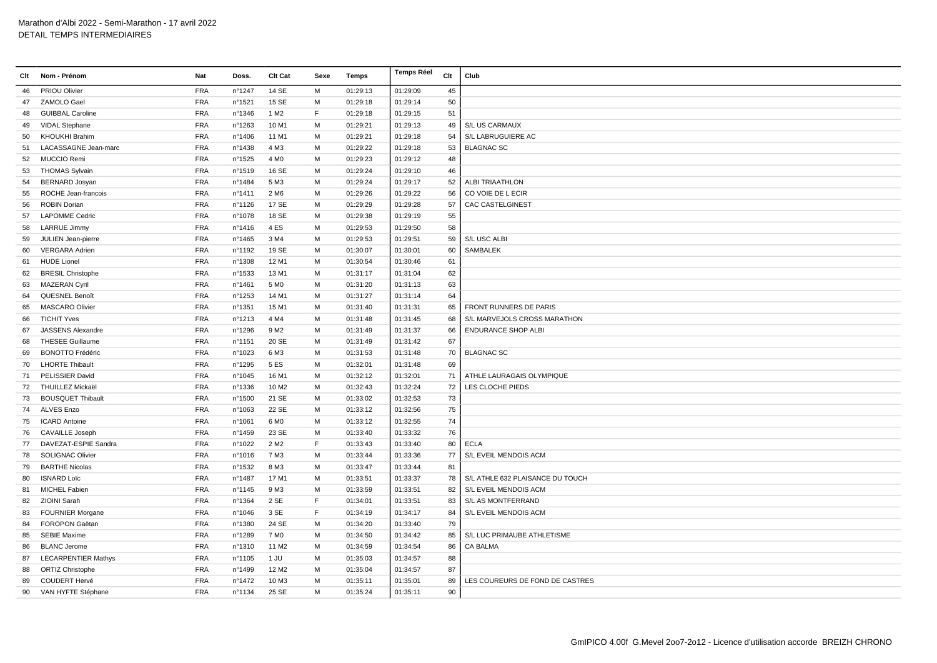| Clt | Nom - Prénom                | Nat        | Doss.            | <b>Clt Cat</b>    | Sexe | <b>Temps</b> | <b>Temps Réel</b> | Clt | Club                             |
|-----|-----------------------------|------------|------------------|-------------------|------|--------------|-------------------|-----|----------------------------------|
| 46  | PRIOU Olivier               | <b>FRA</b> | nº1247           | 14 SE             | М    | 01:29:13     | 01:29:09          | 45  |                                  |
| 47  | ZAMOLO Gael                 | <b>FRA</b> | n°1521           | 15 SE             | М    | 01:29:18     | 01:29:14          | 50  |                                  |
| 48  | <b>GUIBBAL Caroline</b>     | <b>FRA</b> | nº1346           | 1 M <sub>2</sub>  | F    | 01:29:18     | 01:29:15          | 51  |                                  |
| 49  | <b>VIDAL Stephane</b>       | <b>FRA</b> | n°1263           | 10 M1             | M    | 01:29:21     | 01:29:13          | 49  | S/L US CARMAUX                   |
| 50  | <b>KHOUKHI Brahim</b>       | <b>FRA</b> | n°1406           | 11 M1             | M    | 01:29:21     | 01:29:18          | 54  | S/L LABRUGUIERE AC               |
| 51  | <b>LACASSAGNE Jean-marc</b> | <b>FRA</b> | n°1438           | 4 M3              | M    | 01:29:22     | 01:29:18          | 53  | <b>BLAGNAC SC</b>                |
| 52  | MUCCIO Remi                 | <b>FRA</b> | n°1525           | 4 M <sub>0</sub>  | M    | 01:29:23     | 01:29:12          | 48  |                                  |
| 53  | <b>THOMAS Sylvain</b>       | <b>FRA</b> | n°1519           | 16 SE             | M    | 01:29:24     | 01:29:10          | 46  |                                  |
| 54  | <b>BERNARD Josyan</b>       | <b>FRA</b> | n°1484           | 5 M3              | M    | 01:29:24     | 01:29:17          | 52  | <b>ALBI TRIAATHLON</b>           |
| 55  | ROCHE Jean-francois         | <b>FRA</b> | n°1411           | 2 M <sub>6</sub>  | M    | 01:29:26     | 01:29:22          | 56  | CO VOIE DE L ECIR                |
| 56  | <b>ROBIN Dorian</b>         | <b>FRA</b> | nº1126           | 17 SE             | M    | 01:29:29     | 01:29:28          | 57  | <b>CAC CASTELGINEST</b>          |
| 57  | <b>LAPOMME Cedric</b>       | <b>FRA</b> | n°1078           | 18 SE             | М    | 01:29:38     | 01:29:19          | 55  |                                  |
| 58  | <b>LARRUE Jimmy</b>         | <b>FRA</b> | n°1416           | 4ES               | M    | 01:29:53     | 01:29:50          | 58  |                                  |
| 59  | JULIEN Jean-pierre          | <b>FRA</b> | $n^{\circ}$ 1465 | 3 M4              | M    | 01:29:53     | 01:29:51          | 59  | S/L USC ALBI                     |
| 60  | <b>VERGARA Adrien</b>       | <b>FRA</b> | n°1192           | 19 SE             | M    | 01:30:07     | 01:30:01          | 60  | SAMBALEK                         |
| 61  | <b>HUDE Lionel</b>          | <b>FRA</b> | nº1308           | 12 M1             | М    | 01:30:54     | 01:30:46          | 61  |                                  |
| 62  | <b>BRESIL Christophe</b>    | <b>FRA</b> | n°1533           | 13 M1             | M    | 01:31:17     | 01:31:04          | 62  |                                  |
| 63  | <b>MAZERAN Cyril</b>        | <b>FRA</b> | n°1461           | 5 M <sub>0</sub>  | M    | 01:31:20     | 01:31:13          | 63  |                                  |
| 64  | QUESNEL Benoît              | <b>FRA</b> | nº1253           | 14 M1             | M    | 01:31:27     | 01:31:14          | 64  |                                  |
| 65  | <b>MASCARO Olivier</b>      | <b>FRA</b> | nº1351           | 15 M1             | M    | 01:31:40     | 01:31:31          | 65  | <b>FRONT RUNNERS DE PARIS</b>    |
| 66  | <b>TICHIT Yves</b>          | <b>FRA</b> | nº1213           | 4 M4              | M    | 01:31:48     | 01:31:45          | 68  | S/L MARVEJOLS CROSS MARATHON     |
| 67  | JASSENS Alexandre           | <b>FRA</b> | nº1296           | 9 M <sub>2</sub>  | M    | 01:31:49     | 01:31:37          | 66  | <b>ENDURANCE SHOP ALBI</b>       |
| 68  | <b>THESEE Guillaume</b>     | <b>FRA</b> | n°1151           | 20 SE             | M    | 01:31:49     | 01:31:42          | 67  |                                  |
| 69  | <b>BONOTTO Frédéric</b>     | <b>FRA</b> | n°1023           | 6 M3              | M    | 01:31:53     | 01:31:48          | 70  | <b>BLAGNAC SC</b>                |
| 70  | <b>LHORTE Thibault</b>      | <b>FRA</b> | n°1295           | 5 ES              | M    | 01:32:01     | 01:31:48          | 69  |                                  |
| 71  | PELISSIER David             | <b>FRA</b> | n°1045           | 16 M1             | M    | 01:32:12     | 01:32:01          | 71  | ATHLE LAURAGAIS OLYMPIQUE        |
|     | 72 THUILLEZ Mickaël         | <b>FRA</b> | nº1336           | 10 M <sub>2</sub> | M    | 01:32:43     | 01:32:24          | 72  | LES CLOCHE PIEDS                 |
| 73  | <b>BOUSQUET Thibault</b>    | <b>FRA</b> | n°1500           | 21 SE             | M    | 01:33:02     | 01:32:53          | 73  |                                  |
| 74  | <b>ALVES Enzo</b>           | <b>FRA</b> | n°1063           | 22 SE             | M    | 01:33:12     | 01:32:56          | 75  |                                  |
| 75  | <b>ICARD Antoine</b>        | <b>FRA</b> | n°1061           | 6 M <sub>0</sub>  | M    | 01:33:12     | 01:32:55          | 74  |                                  |
| 76  | <b>CAVAILLE Joseph</b>      | <b>FRA</b> | n°1459           | 23 SE             | М    | 01:33:40     | 01:33:32          | 76  |                                  |
| 77  | DAVEZAT-ESPIE Sandra        | <b>FRA</b> | n°1022           | 2 M <sub>2</sub>  | F    | 01:33:43     | 01:33:40          | 80  | <b>ECLA</b>                      |
| 78  | <b>SOLIGNAC Olivier</b>     | <b>FRA</b> | n°1016           | 7 M3              | M    | 01:33:44     | 01:33:36          | 77  | S/L EVEIL MENDOIS ACM            |
| 79  | <b>BARTHE Nicolas</b>       | <b>FRA</b> | n°1532           | 8 M3              | M    | 01:33:47     | 01:33:44          | 81  |                                  |
| 80  | <b>ISNARD Loïc</b>          | <b>FRA</b> | n°1487           | 17 M1             | M    | 01:33:51     | 01:33:37          | 78  | S/L ATHLE 632 PLAISANCE DU TOUCH |
| 81  | <b>MICHEL Fabien</b>        | <b>FRA</b> | $n^{\circ}$ 1145 | 9 M3              | M    | 01:33:59     | 01:33:51          | 82  | S/L EVEIL MENDOIS ACM            |
| 82  | ZIOINI Sarah                | <b>FRA</b> | n°1364           | 2 SE              | F    | 01:34:01     | 01:33:51          | 83  | S/L AS MONTFERRAND               |
| 83  | <b>FOURNIER Morgane</b>     | <b>FRA</b> | n°1046           | 3 SE              | F    | 01:34:19     | 01:34:17          | 84  | S/L EVEIL MENDOIS ACM            |
| 84  | <b>FOROPON Gaëtan</b>       | <b>FRA</b> | nº1380           | 24 SE             | M    | 01:34:20     | 01:33:40          | 79  |                                  |
| 85  | <b>SEBIE Maxime</b>         | <b>FRA</b> | n°1289           | 7 M <sub>0</sub>  | M    | 01:34:50     | 01:34:42          | 85  | S/L LUC PRIMAUBE ATHLETISME      |
| 86  | <b>BLANC Jerome</b>         | <b>FRA</b> | n°1310           | 11 M <sub>2</sub> | M    | 01:34:59     | 01:34:54          | 86  | <b>CA BALMA</b>                  |
| 87  | <b>LECARPENTIER Mathys</b>  | <b>FRA</b> | $n^{\circ}$ 1105 | 1 JU              | М    | 01:35:03     | 01:34:57          | 88  |                                  |
| 88  | <b>ORTIZ Christophe</b>     | <b>FRA</b> | n°1499           | 12 M <sub>2</sub> | M    | 01:35:04     | 01:34:57          | 87  |                                  |
| 89  | <b>COUDERT Hervé</b>        | <b>FRA</b> | n°1472           | 10 M3             | м    | 01:35:11     | 01:35:01          | 89  | LES COUREURS DE FOND DE CASTRES  |
|     | 90 VAN HYFTE Stéphane       | <b>FRA</b> | nº1134           | 25 SE             | M    | 01:35:24     | 01:35:11          | 90  |                                  |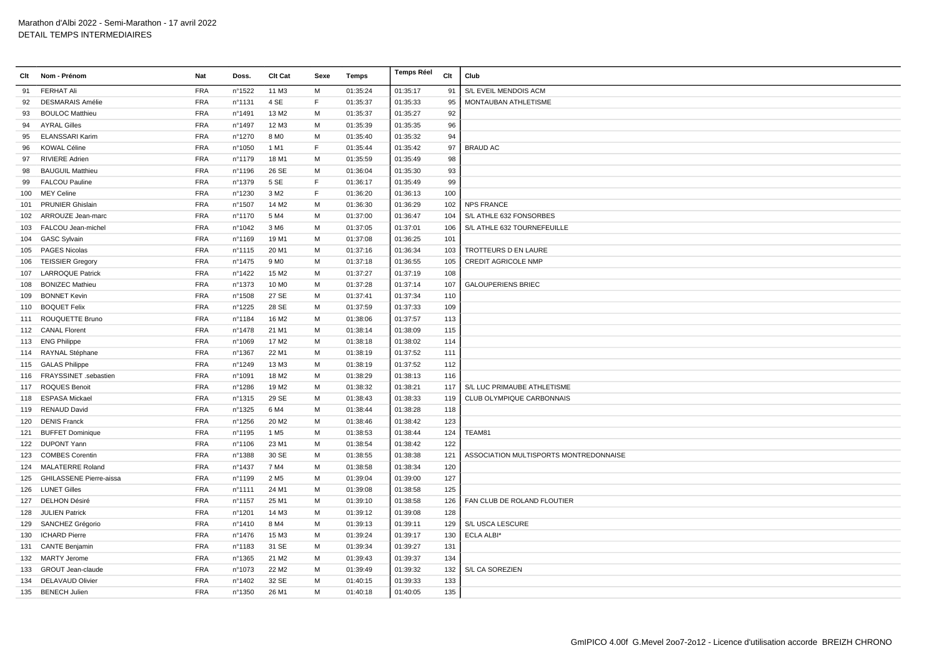| Clt | Nom - Prénom                   | Nat        | Doss.  | Clt Cat           | Sexe | Temps    | <b>Temps Réel</b> | Clt | Club                                   |
|-----|--------------------------------|------------|--------|-------------------|------|----------|-------------------|-----|----------------------------------------|
| 91  | <b>FERHAT Ali</b>              | <b>FRA</b> | n°1522 | 11 M3             | M    | 01:35:24 | 01:35:17          | 91  | S/L EVEIL MENDOIS ACM                  |
| 92  | <b>DESMARAIS Amélie</b>        | <b>FRA</b> | n°1131 | 4 SE              | F.   | 01:35:37 | 01:35:33          | 95  | MONTAUBAN ATHLETISME                   |
| 93  | <b>BOULOC Matthieu</b>         | <b>FRA</b> | n°1491 | 13 M2             | M    | 01:35:37 | 01:35:27          | 92  |                                        |
| 94  | <b>AYRAL Gilles</b>            | <b>FRA</b> | n°1497 | 12 M3             | M    | 01:35:39 | 01:35:35          | 96  |                                        |
| 95  | <b>ELANSSARI Karim</b>         | <b>FRA</b> | n°1270 | 8 M <sub>0</sub>  | м    | 01:35:40 | 01:35:32          | 94  |                                        |
| 96  | <b>KOWAL Céline</b>            | <b>FRA</b> | n°1050 | 1 M1              | E    | 01:35:44 | 01:35:42          | 97  | <b>BRAUD AC</b>                        |
| 97  | <b>RIVIERE Adrien</b>          | <b>FRA</b> | n°1179 | 18 M1             | M    | 01:35:59 | 01:35:49          | 98  |                                        |
| 98  | <b>BAUGUIL Matthieu</b>        | <b>FRA</b> | n°1196 | 26 SE             | M    | 01:36:04 | 01:35:30          | 93  |                                        |
| 99  | <b>FALCOU Pauline</b>          | <b>FRA</b> | n°1379 | 5 SE              | E    | 01:36:17 | 01:35:49          | 99  |                                        |
| 100 | <b>MEY Celine</b>              | <b>FRA</b> | n°1230 | 3 M <sub>2</sub>  | E    | 01:36:20 | 01:36:13          | 100 |                                        |
| 101 | <b>PRUNIER Ghislain</b>        | <b>FRA</b> | n°1507 | 14 M <sub>2</sub> | M    | 01:36:30 | 01:36:29          | 102 | <b>NPS FRANCE</b>                      |
| 102 | ARROUZE Jean-marc              | <b>FRA</b> | n°1170 | 5 M4              | M    | 01:37:00 | 01:36:47          | 104 | S/L ATHLE 632 FONSORBES                |
| 103 | FALCOU Jean-michel             | <b>FRA</b> | n°1042 | 3 M6              | M    | 01:37:05 | 01:37:01          | 106 | S/L ATHLE 632 TOURNEFEUILLE            |
| 104 | <b>GASC Sylvain</b>            | <b>FRA</b> | n°1169 | 19 M1             | M    | 01:37:08 | 01:36:25          | 101 |                                        |
| 105 | <b>PAGES Nicolas</b>           | <b>FRA</b> | n°1115 | 20 M1             | M    | 01:37:16 | 01:36:34          | 103 | TROTTEURS D EN LAURE                   |
| 106 | <b>TEISSIER Gregory</b>        | <b>FRA</b> | n°1475 | 9 M <sub>0</sub>  | M    | 01:37:18 | 01:36:55          | 105 | <b>CREDIT AGRICOLE NMP</b>             |
| 107 | <b>LARROQUE Patrick</b>        | <b>FRA</b> | n°1422 | 15 M <sub>2</sub> | M    | 01:37:27 | 01:37:19          | 108 |                                        |
| 108 | <b>BONIZEC Mathieu</b>         | <b>FRA</b> | n°1373 | 10 M <sub>0</sub> | M    | 01:37:28 | 01:37:14          | 107 | <b>GALOUPERIENS BRIEC</b>              |
| 109 | <b>BONNET Kevin</b>            | <b>FRA</b> | n°1508 | 27 SE             | M    | 01:37:41 | 01:37:34          | 110 |                                        |
| 110 | <b>BOQUET Felix</b>            | <b>FRA</b> | n°1225 | 28 SE             | M    | 01:37:59 | 01:37:33          | 109 |                                        |
|     | 111 ROUQUETTE Bruno            | <b>FRA</b> | n°1184 | 16 M <sub>2</sub> | M    | 01:38:06 | 01:37:57          | 113 |                                        |
|     | 112 CANAL Florent              | <b>FRA</b> | n°1478 | 21 M1             | M    | 01:38:14 | 01:38:09          | 115 |                                        |
|     | 113 ENG Philippe               | <b>FRA</b> | n°1069 | 17 M <sub>2</sub> | M    | 01:38:18 | 01:38:02          | 114 |                                        |
|     | 114 RAYNAL Stéphane            | <b>FRA</b> | n°1367 | 22 M1             | M    | 01:38:19 | 01:37:52          | 111 |                                        |
|     | 115 GALAS Philippe             | <b>FRA</b> | n°1249 | 13 M3             | M    | 01:38:19 | 01:37:52          | 112 |                                        |
|     | 116 FRAYSSINET .sebastien      | <b>FRA</b> | n°1091 | 18 M <sub>2</sub> | M    | 01:38:29 | 01:38:13          | 116 |                                        |
| 117 | <b>ROQUES Benoit</b>           | <b>FRA</b> | n°1286 | 19 M <sub>2</sub> | M    | 01:38:32 | 01:38:21          | 117 | S/L LUC PRIMAUBE ATHLETISME            |
|     | 118 ESPASA Mickael             | <b>FRA</b> | nº1315 | 29 SE             | M    | 01:38:43 | 01:38:33          | 119 | CLUB OLYMPIQUE CARBONNAIS              |
| 119 | <b>RENAUD David</b>            | <b>FRA</b> | n°1325 | 6 M4              | M    | 01:38:44 | 01:38:28          | 118 |                                        |
| 120 | <b>DENIS Franck</b>            | <b>FRA</b> | n°1256 | 20 M <sub>2</sub> | M    | 01:38:46 | 01:38:42          | 123 |                                        |
| 121 | <b>BUFFET Dominique</b>        | <b>FRA</b> | n°1195 | 1 M <sub>5</sub>  | M    | 01:38:53 | 01:38:44          | 124 | TEAM81                                 |
|     | 122 DUPONT Yann                | <b>FRA</b> | n°1106 | 23 M1             | M    | 01:38:54 | 01:38:42          | 122 |                                        |
|     | 123 COMBES Corentin            | <b>FRA</b> | n°1388 | 30 SE             | M    | 01:38:55 | 01:38:38          | 121 | ASSOCIATION MULTISPORTS MONTREDONNAISE |
| 124 | <b>MALATERRE Roland</b>        | <b>FRA</b> | n°1437 | 7 M4              | M    | 01:38:58 | 01:38:34          | 120 |                                        |
| 125 | <b>GHILASSENE Pierre-aissa</b> | <b>FRA</b> | n°1199 | 2 M <sub>5</sub>  | M    | 01:39:04 | 01:39:00          | 127 |                                        |
| 126 | <b>LUNET Gilles</b>            | <b>FRA</b> | n°1111 | 24 M1             | M    | 01:39:08 | 01:38:58          | 125 |                                        |
| 127 | <b>DELHON Désiré</b>           | <b>FRA</b> | n°1157 | 25 M1             | M    | 01:39:10 | 01:38:58          | 126 | FAN CLUB DE ROLAND FLOUTIER            |
| 128 | <b>JULIEN Patrick</b>          | <b>FRA</b> | n°1201 | 14 M3             | M    | 01:39:12 | 01:39:08          | 128 |                                        |
| 129 | SANCHEZ Grégorio               | <b>FRA</b> | nº1410 | 8 M4              | M    | 01:39:13 | 01:39:11          | 129 | S/L USCA LESCURE                       |
| 130 | <b>ICHARD Pierre</b>           | <b>FRA</b> | n°1476 | 15 M3             | M    | 01:39:24 | 01:39:17          | 130 | ECLA ALBI*                             |
|     | 131 CANTE Benjamin             | <b>FRA</b> | n°1183 | 31 SE             | M    | 01:39:34 | 01:39:27          | 131 |                                        |
| 132 | <b>MARTY Jerome</b>            | <b>FRA</b> | n°1365 | 21 M <sub>2</sub> | M    | 01:39:43 | 01:39:37          | 134 |                                        |
| 133 | <b>GROUT Jean-claude</b>       | <b>FRA</b> | n°1073 | 22 M <sub>2</sub> | M    | 01:39:49 | 01:39:32          | 132 | S/L CA SOREZIEN                        |
| 134 | <b>DELAVAUD Olivier</b>        | <b>FRA</b> | n°1402 | 32 SE             | M    | 01:40:15 | 01:39:33          | 133 |                                        |
|     | 135 BENECH Julien              | <b>FRA</b> | n°1350 | 26 M1             | M    | 01:40:18 | 01:40:05          | 135 |                                        |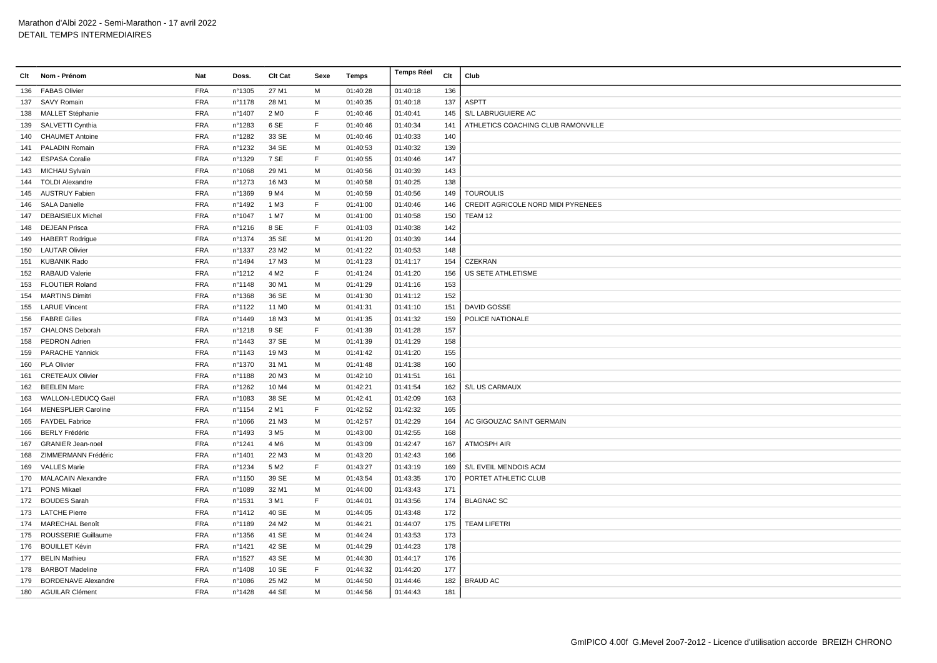| Clt | Nom - Prénom               | Nat        | Doss.  | Clt Cat           | Sexe | Temps    | <b>Temps Réel</b> | Clt | Club                               |
|-----|----------------------------|------------|--------|-------------------|------|----------|-------------------|-----|------------------------------------|
| 136 | <b>FABAS Olivier</b>       | <b>FRA</b> | n°1305 | 27 M1             | M    | 01:40:28 | 01:40:18          | 136 |                                    |
| 137 | <b>SAVY Romain</b>         | <b>FRA</b> | n°1178 | 28 M1             | м    | 01:40:35 | 01:40:18          | 137 | <b>ASPTT</b>                       |
| 138 | MALLET Stéphanie           | <b>FRA</b> | nº1407 | 2 M <sub>0</sub>  | F    | 01:40:46 | 01:40:41          | 145 | S/L LABRUGUIERE AC                 |
| 139 | SALVETTI Cynthia           | <b>FRA</b> | n°1283 | 6 SE              | F    | 01:40:46 | 01:40:34          | 141 | ATHLETICS COACHING CLUB RAMONVILLE |
| 140 | <b>CHAUMET Antoine</b>     | <b>FRA</b> | n°1282 | 33 SE             | м    | 01:40:46 | 01:40:33          | 140 |                                    |
| 141 | <b>PALADIN Romain</b>      | <b>FRA</b> | n°1232 | 34 SE             | м    | 01:40:53 | 01:40:32          | 139 |                                    |
| 142 | <b>ESPASA Coralie</b>      | <b>FRA</b> | n°1329 | 7 SE              | F    | 01:40:55 | 01:40:46          | 147 |                                    |
|     | 143 MICHAU Sylvain         | <b>FRA</b> | n°1068 | 29 M1             | M    | 01:40:56 | 01:40:39          | 143 |                                    |
|     | 144 TOLDI Alexandre        | <b>FRA</b> | n°1273 | 16 M3             | м    | 01:40:58 | 01:40:25          | 138 |                                    |
| 145 | <b>AUSTRUY Fabien</b>      | <b>FRA</b> | n°1369 | 9 M4              | м    | 01:40:59 | 01:40:56          | 149 | <b>TOUROULIS</b>                   |
| 146 | <b>SALA Danielle</b>       | <b>FRA</b> | n°1492 | 1 M3              | F    | 01:41:00 | 01:40:46          | 146 | CREDIT AGRICOLE NORD MIDI PYRENEES |
| 147 | <b>DEBAISIEUX Michel</b>   | <b>FRA</b> | nº1047 | 1 M7              | м    | 01:41:00 | 01:40:58          | 150 | TEAM 12                            |
| 148 | <b>DEJEAN Prisca</b>       | <b>FRA</b> | n°1216 | 8 SE              | F    | 01:41:03 | 01:40:38          | 142 |                                    |
|     | 149 HABERT Rodrigue        | FRA        | n°1374 | 35 SE             | M    | 01:41:20 | 01:40:39          | 144 |                                    |
| 150 | <b>LAUTAR Olivier</b>      | <b>FRA</b> | n°1337 | 23 M <sub>2</sub> | м    | 01:41:22 | 01:40:53          | 148 |                                    |
| 151 | <b>KUBANIK Rado</b>        | <b>FRA</b> | nº1494 | 17 M3             | м    | 01:41:23 | 01:41:17          | 154 | <b>CZEKRAN</b>                     |
| 152 | <b>RABAUD Valerie</b>      | <b>FRA</b> | n°1212 | 4 M <sub>2</sub>  | E    | 01:41:24 | 01:41:20          | 156 | US SETE ATHLETISME                 |
| 153 | <b>FLOUTIER Roland</b>     | <b>FRA</b> | n°1148 | 30 M1             | м    | 01:41:29 | 01:41:16          | 153 |                                    |
| 154 | <b>MARTINS Dimitri</b>     | <b>FRA</b> | n°1368 | 36 SE             | м    | 01:41:30 | 01:41:12          | 152 |                                    |
| 155 | <b>LARUE Vincent</b>       | <b>FRA</b> | n°1122 | 11 M <sub>0</sub> | м    | 01:41:31 | 01:41:10          | 151 | DAVID GOSSE                        |
| 156 | <b>FABRE Gilles</b>        | <b>FRA</b> | n°1449 | 18 M3             | м    | 01:41:35 | 01:41:32          | 159 | POLICE NATIONALE                   |
| 157 | <b>CHALONS Deborah</b>     | <b>FRA</b> | n°1218 | 9 SE              | F    | 01:41:39 | 01:41:28          | 157 |                                    |
| 158 | PEDRON Adrien              | <b>FRA</b> | n°1443 | 37 SE             | м    | 01:41:39 | 01:41:29          | 158 |                                    |
| 159 | <b>PARACHE Yannick</b>     | <b>FRA</b> | nº1143 | 19 M3             | м    | 01:41:42 | 01:41:20          | 155 |                                    |
| 160 | <b>PLA Olivier</b>         | <b>FRA</b> | n°1370 | 31 M1             | м    | 01:41:48 | 01:41:38          | 160 |                                    |
| 161 | <b>CRETEAUX Olivier</b>    | <b>FRA</b> | n°1188 | 20 M3             | м    | 01:42:10 | 01:41:51          | 161 |                                    |
| 162 | <b>BEELEN Marc</b>         | <b>FRA</b> | n°1262 | 10 M4             | м    | 01:42:21 | 01:41:54          | 162 | S/L US CARMAUX                     |
| 163 | WALLON-LEDUCQ Gaël         | <b>FRA</b> | n°1083 | 38 SE             | м    | 01:42:41 | 01:42:09          | 163 |                                    |
| 164 | <b>MENESPLIER Caroline</b> | <b>FRA</b> | n°1154 | 2 M1              | F    | 01:42:52 | 01:42:32          | 165 |                                    |
| 165 | <b>FAYDEL Fabrice</b>      | <b>FRA</b> | n°1066 | 21 M3             | м    | 01:42:57 | 01:42:29          | 164 | AC GIGOUZAC SAINT GERMAIN          |
| 166 | <b>BERLY Frédéric</b>      | <b>FRA</b> | n°1493 | 3 M <sub>5</sub>  | м    | 01:43:00 | 01:42:55          | 168 |                                    |
| 167 | <b>GRANIER Jean-noel</b>   | <b>FRA</b> | n°1241 | 4 M <sub>6</sub>  | м    | 01:43:09 | 01:42:47          | 167 | <b>ATMOSPH AIR</b>                 |
| 168 | ZIMMERMANN Frédéric        | <b>FRA</b> | n°1401 | 22 M3             | м    | 01:43:20 | 01:42:43          | 166 |                                    |
| 169 | <b>VALLES Marie</b>        | <b>FRA</b> | n°1234 | 5 M <sub>2</sub>  | F    | 01:43:27 | 01:43:19          | 169 | S/L EVEIL MENDOIS ACM              |
| 170 | <b>MALACAIN Alexandre</b>  | <b>FRA</b> | n°1150 | 39 SE             | м    | 01:43:54 | 01:43:35          | 170 | PORTET ATHLETIC CLUB               |
|     | 171 PONS Mikael            | <b>FRA</b> | n°1089 | 32 M1             | M    | 01:44:00 | 01:43:43          | 171 |                                    |
|     | 172 BOUDES Sarah           | <b>FRA</b> | n°1531 | 3 M1              | F    | 01:44:01 | 01:43:56          | 174 | <b>BLAGNAC SC</b>                  |
|     | 173 LATCHE Pierre          | <b>FRA</b> | n°1412 | 40 SE             | M    | 01:44:05 | 01:43:48          | 172 |                                    |
|     | 174 MARECHAL Benoît        | <b>FRA</b> | n°1189 | 24 M2             | M    | 01:44:21 | 01:44:07          | 175 | <b>TEAM LIFETRI</b>                |
| 175 | ROUSSERIE Guillaume        | <b>FRA</b> | nº1356 | 41 SE             | м    | 01:44:24 | 01:43:53          | 173 |                                    |
| 176 | <b>BOUILLET Kévin</b>      | <b>FRA</b> | n°1421 | 42 SE             | м    | 01:44:29 | 01:44:23          | 178 |                                    |
|     | 177 BELIN Mathieu          | <b>FRA</b> | n°1527 | 43 SE             | м    | 01:44:30 | 01:44:17          | 176 |                                    |
|     | 178 BARBOT Madeline        | <b>FRA</b> | n°1408 | 10 SE             | F    | 01:44:32 | 01:44:20          | 177 |                                    |
| 179 | <b>BORDENAVE Alexandre</b> | <b>FRA</b> | n°1086 | 25 M <sub>2</sub> | м    | 01:44:50 | 01:44:46          | 182 | <b>BRAUD AC</b>                    |
|     | 180 AGUILAR Clément        | <b>FRA</b> | n°1428 | 44 SE             | M    | 01:44:56 | 01:44:43          | 181 |                                    |
|     |                            |            |        |                   |      |          |                   |     |                                    |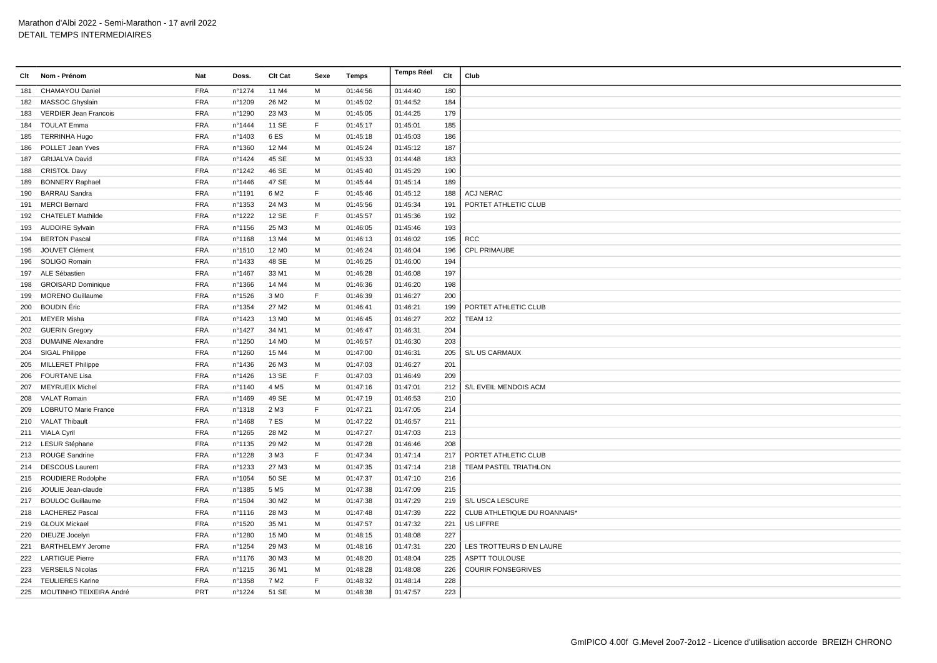| Clt | Nom - Prénom                | Nat        | Doss.  | Clt Cat           | Sexe        | Temps    | Temps Réel | Clt | Club                         |
|-----|-----------------------------|------------|--------|-------------------|-------------|----------|------------|-----|------------------------------|
| 181 | <b>CHAMAYOU Daniel</b>      | <b>FRA</b> | nº1274 | 11 M4             | м           | 01:44:56 | 01:44:40   | 180 |                              |
|     | 182 MASSOC Ghyslain         | <b>FRA</b> | n°1209 | 26 M <sub>2</sub> | M           | 01:45:02 | 01:44:52   | 184 |                              |
| 183 | VERDIER Jean Francois       | FRA        | n°1290 | 23 M3             | M           | 01:45:05 | 01:44:25   | 179 |                              |
| 184 | <b>TOULAT Emma</b>          | <b>FRA</b> | n°1444 | 11 SE             | E           | 01:45:17 | 01:45:01   | 185 |                              |
| 185 | <b>TERRINHA Hugo</b>        | <b>FRA</b> | n°1403 | 6ES               | M           | 01:45:18 | 01:45:03   | 186 |                              |
| 186 | POLLET Jean Yves            | <b>FRA</b> | nº1360 | 12 M4             | м           | 01:45:24 | 01:45:12   | 187 |                              |
| 187 | <b>GRIJALVA David</b>       | <b>FRA</b> | nº1424 | 45 SE             | м           | 01:45:33 | 01:44:48   | 183 |                              |
| 188 | <b>CRISTOL Davy</b>         | <b>FRA</b> | n°1242 | 46 SE             | м           | 01:45:40 | 01:45:29   | 190 |                              |
| 189 | <b>BONNERY Raphael</b>      | <b>FRA</b> | n°1446 | 47 SE             | M           | 01:45:44 | 01:45:14   | 189 |                              |
| 190 | <b>BARRAU Sandra</b>        | <b>FRA</b> | nº1191 | 6 M <sub>2</sub>  | F           | 01:45:46 | 01:45:12   | 188 | <b>ACJ NERAC</b>             |
| 191 | <b>MERCI Bernard</b>        | <b>FRA</b> | nº1353 | 24 M3             | м           | 01:45:56 | 01:45:34   | 191 | PORTET ATHLETIC CLUB         |
| 192 | <b>CHATELET Mathilde</b>    | <b>FRA</b> | n°1222 | 12 SE             | F           | 01:45:57 | 01:45:36   | 192 |                              |
|     | 193 AUDOIRE Sylvain         | <b>FRA</b> | n°1156 | 25 M3             | M           | 01:46:05 | 01:45:46   | 193 |                              |
| 194 | <b>BERTON Pascal</b>        | <b>FRA</b> | n°1168 | 13 M4             | M           | 01:46:13 | 01:46:02   | 195 | <b>RCC</b>                   |
| 195 | JOUVET Clément              | <b>FRA</b> | n°1510 | 12 M <sub>0</sub> | M           | 01:46:24 | 01:46:04   | 196 | CPL PRIMAUBE                 |
| 196 | SOLIGO Romain               | <b>FRA</b> | n°1433 | 48 SE             | м           | 01:46:25 | 01:46:00   | 194 |                              |
| 197 | ALE Sébastien               | <b>FRA</b> | nº1467 | 33 M1             | м           | 01:46:28 | 01:46:08   | 197 |                              |
| 198 | <b>GROISARD Dominique</b>   | <b>FRA</b> | n°1366 | 14 M4             | м           | 01:46:36 | 01:46:20   | 198 |                              |
| 199 | <b>MORENO Guillaume</b>     | <b>FRA</b> | n°1526 | 3 M <sub>0</sub>  | E           | 01:46:39 | 01:46:27   | 200 |                              |
| 200 | <b>BOUDIN</b> Éric          | <b>FRA</b> | nº1354 | 27 M <sub>2</sub> | м           | 01:46:41 | 01:46:21   | 199 | PORTET ATHLETIC CLUB         |
|     | 201 MEYER Misha             | <b>FRA</b> | n°1423 | 13 M <sub>0</sub> | м           | 01:46:45 | 01:46:27   | 202 | TEAM 12                      |
| 202 | <b>GUERIN Gregory</b>       | <b>FRA</b> | n°1427 | 34 M1             | м           | 01:46:47 | 01:46:31   | 204 |                              |
| 203 | <b>DUMAINE Alexandre</b>    | <b>FRA</b> | n°1250 | 14 M <sub>0</sub> | м           | 01:46:57 | 01:46:30   | 203 |                              |
| 204 | <b>SIGAL Philippe</b>       | <b>FRA</b> | n°1260 | 15 M4             | M           | 01:47:00 | 01:46:31   | 205 | S/L US CARMAUX               |
| 205 | <b>MILLERET Philippe</b>    | <b>FRA</b> | n°1436 | 26 M3             | M           | 01:47:03 | 01:46:27   | 201 |                              |
| 206 | <b>FOURTANE Lisa</b>        | <b>FRA</b> | n°1426 | 13 SE             | F           | 01:47:03 | 01:46:49   | 209 |                              |
| 207 | <b>MEYRUEIX Michel</b>      | <b>FRA</b> | nº1140 | 4 M <sub>5</sub>  | м           | 01:47:16 | 01:47:01   | 212 | S/L EVEIL MENDOIS ACM        |
| 208 | VALAT Romain                | <b>FRA</b> | n°1469 | 49 SE             | м           | 01:47:19 | 01:46:53   | 210 |                              |
| 209 | <b>LOBRUTO Marie France</b> | <b>FRA</b> | n°1318 | 2 M3              | E           | 01:47:21 | 01:47:05   | 214 |                              |
|     | 210 VALAT Thibault          | <b>FRA</b> | n°1468 | 7 ES              | M           | 01:47:22 | 01:46:57   | 211 |                              |
|     | 211 VIALA Cyril             | <b>FRA</b> | n°1265 | 28 M2             | M           | 01:47:27 | 01:47:03   | 213 |                              |
|     | 212 LESUR Stéphane          | <b>FRA</b> | n°1135 | 29 M <sub>2</sub> | м           | 01:47:28 | 01:46:46   | 208 |                              |
|     | 213 ROUGE Sandrine          | <b>FRA</b> | n°1228 | 3 M3              | $\mathsf F$ | 01:47:34 | 01:47:14   | 217 | PORTET ATHLETIC CLUB         |
|     | 214 DESCOUS Laurent         | <b>FRA</b> | n°1233 | 27 M3             | M           | 01:47:35 | 01:47:14   | 218 | <b>TEAM PASTEL TRIATHLON</b> |
| 215 | ROUDIERE Rodolphe           | <b>FRA</b> | n°1054 | 50 SE             | M           | 01:47:37 | 01:47:10   | 216 |                              |
|     | 216 JOULIE Jean-claude      | <b>FRA</b> | n°1385 | 5 M <sub>5</sub>  | м           | 01:47:38 | 01:47:09   | 215 |                              |
|     | 217 BOULOC Guillaume        | <b>FRA</b> | n°1504 | 30 M <sub>2</sub> | м           | 01:47:38 | 01:47:29   | 219 | S/L USCA LESCURE             |
|     | 218 LACHEREZ Pascal         | <b>FRA</b> | nº1116 | 28 M3             | м           | 01:47:48 | 01:47:39   | 222 | CLUB ATHLETIQUE DU ROANNAIS* |
|     | 219 GLOUX Mickael           | <b>FRA</b> | n°1520 | 35 M1             | M           | 01:47:57 | 01:47:32   | 221 | US LIFFRE                    |
| 220 | DIEUZE Jocelyn              | <b>FRA</b> | n°1280 | 15 M <sub>0</sub> | M           | 01:48:15 | 01:48:08   | 227 |                              |
| 221 | <b>BARTHELEMY Jerome</b>    | <b>FRA</b> | n°1254 | 29 M3             | м           | 01:48:16 | 01:47:31   | 220 | LES TROTTEURS D EN LAURE     |
|     | 222 LARTIGUE Pierre         | <b>FRA</b> | n°1176 | 30 M3             | м           | 01:48:20 | 01:48:04   | 225 | ASPTT TOULOUSE               |
|     | 223 VERSEILS Nicolas        | <b>FRA</b> | n°1215 | 36 M1             | м           | 01:48:28 | 01:48:08   | 226 | <b>COURIR FONSEGRIVES</b>    |
| 224 | <b>TEULIERES Karine</b>     | <b>FRA</b> | n°1358 | 7 M <sub>2</sub>  | E           | 01:48:32 | 01:48:14   | 228 |                              |
|     | 225 MOUTINHO TEIXEIRA André | PRT        | n°1224 | 51 SE             | M           | 01:48:38 | 01:47:57   | 223 |                              |
|     |                             |            |        |                   |             |          |            |     |                              |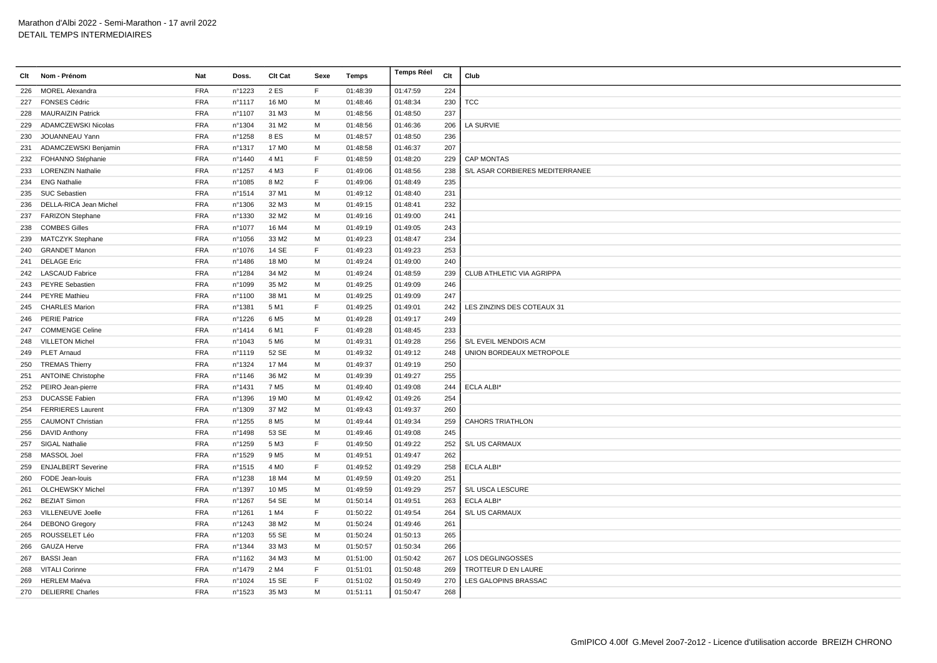| Clt | Nom - Prénom              | Nat        | Doss.  | Clt Cat           | Sexe | Temps    | <b>Temps Réel</b> | Clt | Club                            |
|-----|---------------------------|------------|--------|-------------------|------|----------|-------------------|-----|---------------------------------|
|     | 226 MOREL Alexandra       | <b>FRA</b> | n°1223 | 2 ES              | F.   | 01:48:39 | 01:47:59          | 224 |                                 |
| 227 | <b>FONSES Cédric</b>      | <b>FRA</b> | nº1117 | 16 M <sub>0</sub> | M    | 01:48:46 | 01:48:34          | 230 | <b>TCC</b>                      |
| 228 | <b>MAURAIZIN Patrick</b>  | <b>FRA</b> | n°1107 | 31 M3             | м    | 01:48:56 | 01:48:50          | 237 |                                 |
| 229 | ADAMCZEWSKI Nicolas       | <b>FRA</b> | n°1304 | 31 M2             | м    | 01:48:56 | 01:46:36          | 206 | LA SURVIE                       |
| 230 | JOUANNEAU Yann            | <b>FRA</b> | n°1258 | 8 ES              | м    | 01:48:57 | 01:48:50          | 236 |                                 |
| 231 | ADAMCZEWSKI Benjamin      | <b>FRA</b> | n°1317 | 17 M <sub>0</sub> | M    | 01:48:58 | 01:46:37          | 207 |                                 |
| 232 | FOHANNO Stéphanie         | <b>FRA</b> | n°1440 | 4 M1              | E    | 01:48:59 | 01:48:20          | 229 | <b>CAP MONTAS</b>               |
| 233 | <b>LORENZIN Nathalie</b>  | <b>FRA</b> | n°1257 | 4 M3              | F    | 01:49:06 | 01:48:56          | 238 | S/L ASAR CORBIERES MEDITERRANEE |
|     | 234 ENG Nathalie          | <b>FRA</b> | n°1085 | 8 M <sub>2</sub>  | E    | 01:49:06 | 01:48:49          | 235 |                                 |
| 235 | <b>SUC Sebastien</b>      | <b>FRA</b> | nº1514 | 37 M1             | м    | 01:49:12 | 01:48:40          | 231 |                                 |
| 236 | DELLA-RICA Jean Michel    | <b>FRA</b> | n°1306 | 32 M3             | м    | 01:49:15 | 01:48:41          | 232 |                                 |
|     | 237 FARIZON Stephane      | <b>FRA</b> | n°1330 | 32 M <sub>2</sub> | M    | 01:49:16 | 01:49:00          | 241 |                                 |
| 238 | <b>COMBES Gilles</b>      | <b>FRA</b> | n°1077 | 16 M4             | M    | 01:49:19 | 01:49:05          | 243 |                                 |
| 239 | MATCZYK Stephane          | <b>FRA</b> | n°1056 | 33 M <sub>2</sub> | м    | 01:49:23 | 01:48:47          | 234 |                                 |
| 240 | <b>GRANDET Manon</b>      | <b>FRA</b> | n°1076 | 14 SE             | F    | 01:49:23 | 01:49:23          | 253 |                                 |
|     | 241 DELAGE Eric           | <b>FRA</b> | n°1486 | 18 M <sub>0</sub> | м    | 01:49:24 | 01:49:00          | 240 |                                 |
|     | 242 LASCAUD Fabrice       | <b>FRA</b> | n°1284 | 34 M2             | M    | 01:49:24 | 01:48:59          | 239 | CLUB ATHLETIC VIA AGRIPPA       |
|     | 243 PEYRE Sebastien       | <b>FRA</b> | n°1099 | 35 M2             | M    | 01:49:25 | 01:49:09          | 246 |                                 |
| 244 | <b>PEYRE Mathieu</b>      | <b>FRA</b> | n°1100 | 38 M1             | м    | 01:49:25 | 01:49:09          | 247 |                                 |
| 245 | <b>CHARLES Marion</b>     | <b>FRA</b> | n°1381 | 5 M1              | F    | 01:49:25 | 01:49:01          | 242 | LES ZINZINS DES COTEAUX 31      |
|     | 246 PERIE Patrice         | <b>FRA</b> | n°1226 | 6 M <sub>5</sub>  | M    | 01:49:28 | 01:49:17          | 249 |                                 |
| 247 | <b>COMMENGE Celine</b>    | <b>FRA</b> | n°1414 | 6 M1              | E    | 01:49:28 | 01:48:45          | 233 |                                 |
| 248 | <b>VILLETON Michel</b>    | <b>FRA</b> | n°1043 | 5 M <sub>6</sub>  | M    | 01:49:31 | 01:49:28          | 256 | S/L EVEIL MENDOIS ACM           |
|     | 249 PLET Arnaud           | <b>FRA</b> | nº1119 | 52 SE             | M    | 01:49:32 | 01:49:12          | 248 | UNION BORDEAUX METROPOLE        |
| 250 | <b>TREMAS Thierry</b>     | <b>FRA</b> | nº1324 | 17 M4             | М    | 01:49:37 | 01:49:19          | 250 |                                 |
| 251 | <b>ANTOINE Christophe</b> | <b>FRA</b> | nº1146 | 36 M <sub>2</sub> | м    | 01:49:39 | 01:49:27          | 255 |                                 |
| 252 | PEIRO Jean-pierre         | <b>FRA</b> | nº1431 | 7 M <sub>5</sub>  | м    | 01:49:40 | 01:49:08          | 244 | <b>ECLA ALBI*</b>               |
| 253 | <b>DUCASSE Fabien</b>     | <b>FRA</b> | n°1396 | 19 M <sub>0</sub> | M    | 01:49:42 | 01:49:26          | 254 |                                 |
| 254 | <b>FERRIERES Laurent</b>  | <b>FRA</b> | n°1309 | 37 M <sub>2</sub> | M    | 01:49:43 | 01:49:37          | 260 |                                 |
| 255 | <b>CAUMONT Christian</b>  | <b>FRA</b> | n°1255 | 8 M <sub>5</sub>  | M    | 01:49:44 | 01:49:34          | 259 | <b>CAHORS TRIATHLON</b>         |
| 256 | <b>DAVID Anthony</b>      | <b>FRA</b> | n°1498 | 53 SE             | M    | 01:49:46 | 01:49:08          | 245 |                                 |
|     | 257 SIGAL Nathalie        | <b>FRA</b> | n°1259 | 5 M3              | F    | 01:49:50 | 01:49:22          | 252 | S/L US CARMAUX                  |
| 258 | MASSOL Joel               | <b>FRA</b> | n°1529 | 9 M <sub>5</sub>  | м    | 01:49:51 | 01:49:47          | 262 |                                 |
| 259 | <b>ENJALBERT Severine</b> | <b>FRA</b> | n°1515 | 4 M <sub>0</sub>  | F    | 01:49:52 | 01:49:29          | 258 | <b>ECLA ALBI*</b>               |
| 260 | FODE Jean-louis           | <b>FRA</b> | n°1238 | 18 M4             | м    | 01:49:59 | 01:49:20          | 251 |                                 |
| 261 | <b>OLCHEWSKY Michel</b>   | <b>FRA</b> | n°1397 | 10 M <sub>5</sub> | м    | 01:49:59 | 01:49:29          | 257 | S/L USCA LESCURE                |
| 262 | <b>BEZIAT Simon</b>       | <b>FRA</b> | n°1267 | 54 SE             | M    | 01:50:14 | 01:49:51          | 263 | <b>ECLA ALBI*</b>               |
| 263 | VILLENEUVE Joelle         | <b>FRA</b> | n°1261 | 1 M4              | F    | 01:50:22 | 01:49:54          | 264 | S/L US CARMAUX                  |
|     | 264 DEBONO Gregory        | <b>FRA</b> | n°1243 | 38 M2             | M    | 01:50:24 | 01:49:46          | 261 |                                 |
| 265 | ROUSSELET Léo             | <b>FRA</b> | n°1203 | 55 SE             | M    | 01:50:24 | 01:50:13          | 265 |                                 |
| 266 | <b>GAUZA Herve</b>        | <b>FRA</b> | n°1344 | 33 M3             | м    | 01:50:57 | 01:50:34          | 266 |                                 |
| 267 | <b>BASSI Jean</b>         | <b>FRA</b> | n°1162 | 34 M3             | м    | 01:51:00 | 01:50:42          | 267 | LOS DEGLINGOSSES                |
| 268 | <b>VITALI Corinne</b>     | <b>FRA</b> | n°1479 | 2 M4              | F    | 01:51:01 | 01:50:48          | 269 | TROTTEUR D EN LAURE             |
| 269 | <b>HERLEM Maéva</b>       | <b>FRA</b> | n°1024 | 15 SE             | E    | 01:51:02 | 01:50:49          | 270 | LES GALOPINS BRASSAC            |
|     | 270 DELIERRE Charles      | <b>FRA</b> | n°1523 | 35 M3             | M    | 01:51:11 | 01:50:47          | 268 |                                 |
|     |                           |            |        |                   |      |          |                   |     |                                 |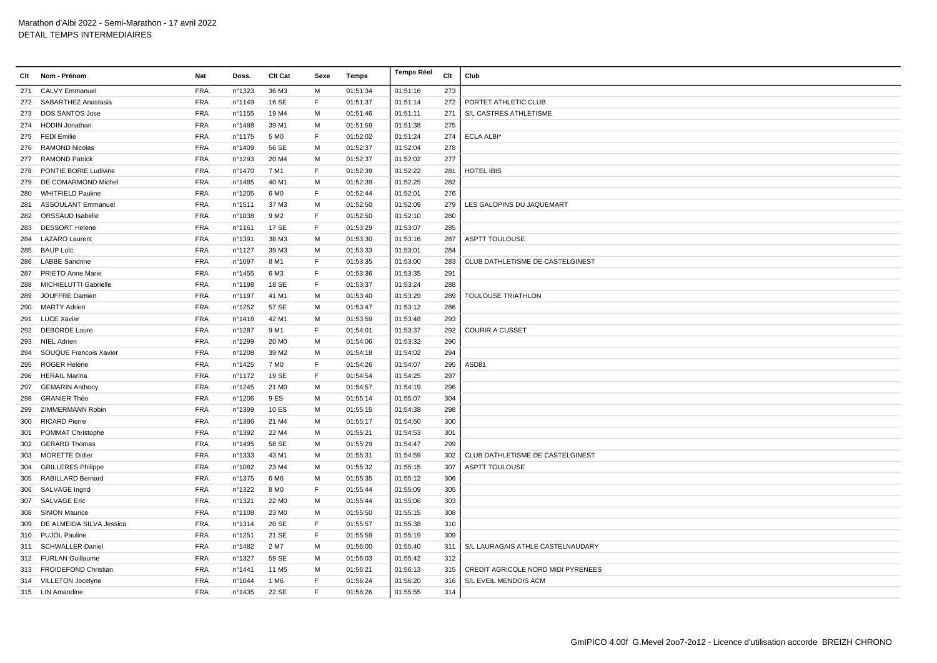|     | Clt Nom - Prénom          | <b>Nat</b> | Doss.  | Clt Cat           | Sexe | Temps    | <b>Temps Réel</b> | Clt | Club                               |
|-----|---------------------------|------------|--------|-------------------|------|----------|-------------------|-----|------------------------------------|
| 271 | <b>CALVY Emmanuel</b>     | <b>FRA</b> | n°1323 | 36 M3             | M    | 01:51:34 | 01:51:16          | 273 |                                    |
|     | 272 SABARTHEZ Anastasia   | <b>FRA</b> | n°1149 | 16 SE             | F.   | 01:51:37 | 01:51:14          | 272 | PORTET ATHLETIC CLUB               |
| 273 | DOS SANTOS Jose           | <b>FRA</b> | n°1155 | 19 M4             | м    | 01:51:46 | 01:51:11          | 271 | <b>S/L CASTRES ATHLETISME</b>      |
|     | 274 HODIN Jonathan        | <b>FRA</b> | n°1488 | 39 M1             | м    | 01:51:59 | 01:51:38          | 275 |                                    |
| 275 | <b>FEDI Emilie</b>        | <b>FRA</b> | n°1175 | 5 M <sub>0</sub>  | F    | 01:52:02 | 01:51:24          | 274 | ECLA ALBI*                         |
| 276 | RAMOND Nicolas            | <b>FRA</b> | n°1409 | 56 SE             | м    | 01:52:37 | 01:52:04          | 278 |                                    |
| 277 | <b>RAMOND Patrick</b>     | <b>FRA</b> | n°1293 | 20 M4             | M    | 01:52:37 | 01:52:02          | 277 |                                    |
| 278 | PONTIE BORIE Ludivine     | <b>FRA</b> | n°1470 | 7 M1              | F.   | 01:52:39 | 01:52:22          | 281 | <b>HOTEL IBIS</b>                  |
| 279 | DE COMARMOND Michel       | <b>FRA</b> | n°1485 | 40 M1             | м    | 01:52:39 | 01:52:25          | 282 |                                    |
| 280 | <b>WHITFIELD Pauline</b>  | <b>FRA</b> | n°1205 | 6 M <sub>0</sub>  | F    | 01:52:44 | 01:52:01          | 276 |                                    |
| 281 | <b>ASSOULANT Emmanuel</b> | <b>FRA</b> | n°1511 | 37 M3             | M    | 01:52:50 | 01:52:09          | 279 | LES GALOPINS DU JAQUEMART          |
| 282 | ORSSAUD Isabelle          | <b>FRA</b> | n°1038 | 9 M2              | F    | 01:52:50 | 01:52:10          | 280 |                                    |
| 283 | <b>DESSORT Helene</b>     | <b>FRA</b> | n°1161 | 17 SE             | E    | 01:53:29 | 01:53:07          | 285 |                                    |
| 284 | <b>LAZARO Laurent</b>     | <b>FRA</b> | n°1391 | 38 M3             | M    | 01:53:30 | 01:53:16          | 287 | <b>ASPTT TOULOUSE</b>              |
| 285 | <b>BAUP Loïc</b>          | <b>FRA</b> | n°1127 | 39 M3             | M    | 01:53:33 | 01:53:01          | 284 |                                    |
| 286 | <b>LABBE Sandrine</b>     | <b>FRA</b> | n°1097 | 8 M1              | F    | 01:53:35 | 01:53:00          | 283 | CLUB DATHLETISME DE CASTELGINEST   |
| 287 | <b>PRIETO Anne Marie</b>  | <b>FRA</b> | n°1455 | 6 M3              | F    | 01:53:36 | 01:53:35          | 291 |                                    |
| 288 | MICHIELUTTI Gabrielle     | <b>FRA</b> | n°1198 | 18 SE             | F    | 01:53:37 | 01:53:24          | 288 |                                    |
| 289 | JOUFFRE Damien            | <b>FRA</b> | n°1197 | 41 M1             | м    | 01:53:40 | 01:53:29          | 289 | <b>TOULOUSE TRIATHLON</b>          |
| 290 | <b>MARTY Adrien</b>       | <b>FRA</b> | n°1252 | 57 SE             | м    | 01:53:47 | 01:53:12          | 286 |                                    |
|     | 291 LUCE Xavier           | FRA        | n°1418 | 42 M1             | м    | 01:53:59 | 01:53:48          | 293 |                                    |
| 292 | <b>DEBORDE Laure</b>      | <b>FRA</b> | n°1287 | 9 M1              | E    | 01:54:01 | 01:53:37          | 292 | <b>COURIR A CUSSET</b>             |
|     | 293 NIEL Adrien           | <b>FRA</b> | n°1299 | 20 M <sub>0</sub> | M    | 01:54:06 | 01:53:32          | 290 |                                    |
| 294 | SOUQUE Francois Xavier    | <b>FRA</b> | n°1208 | 39 M <sub>2</sub> | M    | 01:54:18 | 01:54:02          | 294 |                                    |
| 295 | <b>ROGER Helene</b>       | <b>FRA</b> | n°1425 | 7 M <sub>0</sub>  | F.   | 01:54:26 | 01:54:07          | 295 | ASD81                              |
| 296 | <b>HERAIL Marina</b>      | <b>FRA</b> | n°1172 | 19 SE             | F    | 01:54:54 | 01:54:25          | 297 |                                    |
| 297 | <b>GEMARIN Anthony</b>    | <b>FRA</b> | n°1245 | 21 M <sub>0</sub> | м    | 01:54:57 | 01:54:19          | 296 |                                    |
| 298 | <b>GRANIER Théo</b>       | <b>FRA</b> | n°1206 | 9 ES              | M    | 01:55:14 | 01:55:07          | 304 |                                    |
| 299 | <b>ZIMMERMANN Robin</b>   | <b>FRA</b> | n°1399 | 10 ES             | M    | 01:55:15 | 01:54:38          | 298 |                                    |
| 300 | <b>RICARD Pierre</b>      | <b>FRA</b> | n°1386 | 21 M4             | M    | 01:55:17 | 01:54:50          | 300 |                                    |
| 301 | POMMAT Christophe         | <b>FRA</b> | n°1392 | 22 M4             | м    | 01:55:21 | 01:54:53          | 301 |                                    |
| 302 | <b>GERARD Thomas</b>      | <b>FRA</b> | n°1495 | 58 SE             | м    | 01:55:29 | 01:54:47          | 299 |                                    |
| 303 | MORETTE Didier            | <b>FRA</b> | n°1333 | 43 M1             | м    | 01:55:31 | 01:54:59          | 302 | CLUB DATHLETISME DE CASTELGINEST   |
| 304 | <b>GRILLERES Philippe</b> | <b>FRA</b> | n°1082 | 23 M4             | м    | 01:55:32 | 01:55:15          | 307 | ASPTT TOULOUSE                     |
| 305 | RABILLARD Bernard         | <b>FRA</b> | n°1375 | 6 M6              | м    | 01:55:35 | 01:55:12          | 306 |                                    |
| 306 | SALVAGE Ingrid            | <b>FRA</b> | n°1322 | 8 M <sub>0</sub>  | F    | 01:55:44 | 01:55:09          | 305 |                                    |
| 307 | <b>SALVAGE Eric</b>       | <b>FRA</b> | n°1321 | 22 M <sub>0</sub> | M    | 01:55:44 | 01:55:06          | 303 |                                    |
| 308 | <b>SIMON Maurice</b>      | <b>FRA</b> | n°1108 | 23 M <sub>0</sub> | M    | 01:55:50 | 01:55:15          | 308 |                                    |
| 309 | DE ALMEIDA SILVA Jessica  | <b>FRA</b> | n°1314 | 20 SE             | F    | 01:55:57 | 01:55:38          | 310 |                                    |
| 310 | <b>PUJOL Pauline</b>      | <b>FRA</b> | n°1251 | 21 SE             | F.   | 01:55:59 | 01:55:19          | 309 |                                    |
|     | 311 SCHWALLER Daniel      | <b>FRA</b> | n°1482 | 2 M7              | м    | 01:56:00 | 01:55:40          | 311 | S/L LAURAGAIS ATHLE CASTELNAUDARY  |
|     | 312 FURLAN Guillaume      | <b>FRA</b> | n°1327 | 59 SE             | м    | 01:56:03 | 01:55:42          | 312 |                                    |
|     | 313 FROIDEFOND Christian  | <b>FRA</b> | n°1441 | 11 M <sub>5</sub> | м    | 01:56:21 | 01:56:13          | 315 | CREDIT AGRICOLE NORD MIDI PYRENEES |
|     | 314 VILLETON Jocelyne     | <b>FRA</b> | n°1044 | 1 M <sub>6</sub>  | E    | 01:56:24 | 01:56:20          | 316 | S/L EVEIL MENDOIS ACM              |
|     | 315 LIN Amandine          | <b>FRA</b> | n°1435 | 22 SE             | E    | 01:56:26 | 01:55:55          | 314 |                                    |
|     |                           |            |        |                   |      |          |                   |     |                                    |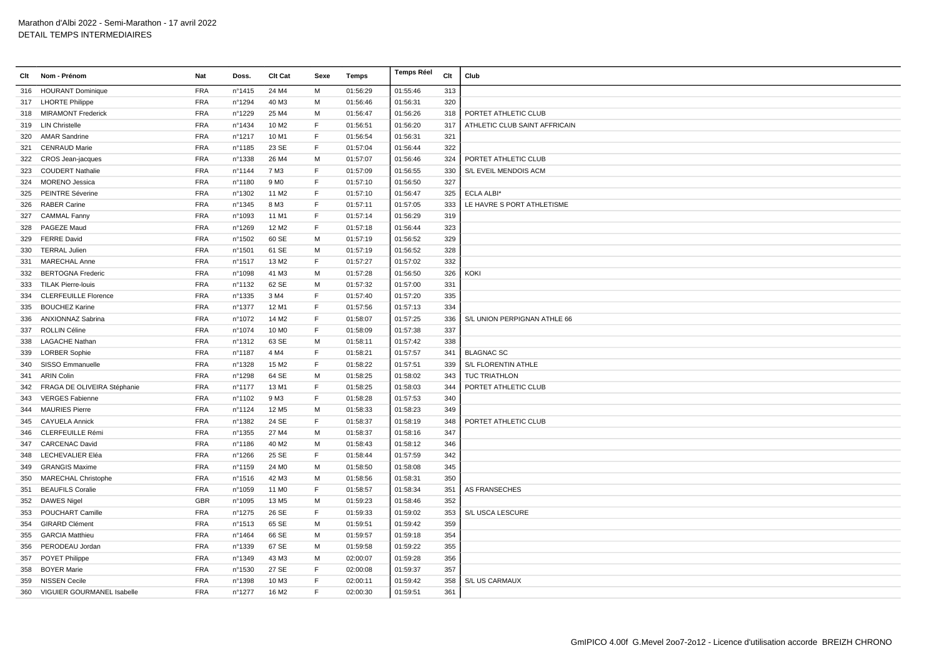|     | Clt Nom - Prénom               | Nat        | Doss.  | <b>CIt Cat</b>    | Sexe | Temps    | <b>Temps Réel</b> | Clt | Club                          |
|-----|--------------------------------|------------|--------|-------------------|------|----------|-------------------|-----|-------------------------------|
|     | 316 HOURANT Dominique          | <b>FRA</b> | nº1415 | 24 M4             | M    | 01:56:29 | 01:55:46          | 313 |                               |
|     | 317 LHORTE Philippe            | <b>FRA</b> | n°1294 | 40 M3             | м    | 01:56:46 | 01:56:31          | 320 |                               |
| 318 | <b>MIRAMONT Frederick</b>      | <b>FRA</b> | n°1229 | 25 M4             | м    | 01:56:47 | 01:56:26          | 318 | PORTET ATHLETIC CLUB          |
|     | 319 LIN Christelle             | <b>FRA</b> | n°1434 | 10 M <sub>2</sub> | F    | 01:56:51 | 01:56:20          | 317 | ATHLETIC CLUB SAINT AFFRICAIN |
| 320 | <b>AMAR Sandrine</b>           | <b>FRA</b> | n°1217 | 10 M1             | F    | 01:56:54 | 01:56:31          | 321 |                               |
| 321 | <b>CENRAUD Marie</b>           | <b>FRA</b> | n°1185 | 23 SE             | E    | 01:57:04 | 01:56:44          | 322 |                               |
| 322 | <b>CROS Jean-jacques</b>       | <b>FRA</b> | n°1338 | 26 M4             | M    | 01:57:07 | 01:56:46          | 324 | PORTET ATHLETIC CLUB          |
| 323 | <b>COUDERT Nathalie</b>        | <b>FRA</b> | nº1144 | 7 M3              | F    | 01:57:09 | 01:56:55          | 330 | S/L EVEIL MENDOIS ACM         |
| 324 | <b>MORENO Jessica</b>          | <b>FRA</b> | n°1180 | 9 M <sub>0</sub>  | E    | 01:57:10 | 01:56:50          | 327 |                               |
| 325 | PEINTRE Séverine               | <b>FRA</b> | n°1302 | 11 M <sub>2</sub> | F    | 01:57:10 | 01:56:47          | 325 | <b>ECLA ALBI*</b>             |
|     | 326 RABER Carine               | <b>FRA</b> | n°1345 | 8 M3              | F    | 01:57:11 | 01:57:05          | 333 | LE HAVRE S PORT ATHLETISME    |
| 327 | <b>CAMMAL Fanny</b>            | <b>FRA</b> | n°1093 | 11 M1             | F    | 01:57:14 | 01:56:29          | 319 |                               |
|     | 328 PAGEZE Maud                | <b>FRA</b> | n°1269 | 12 M <sub>2</sub> | F    | 01:57:18 | 01:56:44          | 323 |                               |
| 329 | <b>FERRE David</b>             | <b>FRA</b> | n°1502 | 60 SE             | M    | 01:57:19 | 01:56:52          | 329 |                               |
| 330 | <b>TERRAL Julien</b>           | <b>FRA</b> | n°1501 | 61 SE             | M    | 01:57:19 | 01:56:52          | 328 |                               |
| 331 | <b>MARECHAL Anne</b>           | <b>FRA</b> | n°1517 | 13 M <sub>2</sub> | F    | 01:57:27 | 01:57:02          | 332 |                               |
| 332 | <b>BERTOGNA Frederic</b>       | <b>FRA</b> | n°1098 | 41 M3             | M    | 01:57:28 | 01:56:50          | 326 | KOKI                          |
| 333 | <b>TILAK Pierre-louis</b>      | <b>FRA</b> | nº1132 | 62 SE             | M    | 01:57:32 | 01:57:00          | 331 |                               |
| 334 | <b>CLERFEUILLE Florence</b>    | <b>FRA</b> | n°1335 | 3 M4              | F    | 01:57:40 | 01:57:20          | 335 |                               |
| 335 | <b>BOUCHEZ Karine</b>          | <b>FRA</b> | nº1377 | 12 M1             | F    | 01:57:56 | 01:57:13          | 334 |                               |
| 336 | ANXIONNAZ Sabrina              | <b>FRA</b> | n°1072 | 14 M <sub>2</sub> | F    | 01:58:07 | 01:57:25          | 336 | S/L UNION PERPIGNAN ATHLE 66  |
| 337 | <b>ROLLIN Céline</b>           | <b>FRA</b> | n°1074 | 10 M <sub>0</sub> | F    | 01:58:09 | 01:57:38          | 337 |                               |
| 338 | <b>LAGACHE Nathan</b>          | <b>FRA</b> | nº1312 | 63 SE             | M    | 01:58:11 | 01:57:42          | 338 |                               |
| 339 | <b>LORBER Sophie</b>           | <b>FRA</b> | n°1187 | 4 M4              | F    | 01:58:21 | 01:57:57          | 341 | <b>BLAGNAC SC</b>             |
| 340 | SISSO Emmanuelle               | <b>FRA</b> | n°1328 | 15 M <sub>2</sub> | F    | 01:58:22 | 01:57:51          | 339 | S/L FLORENTIN ATHLE           |
| 341 | <b>ARIN Colin</b>              | <b>FRA</b> | n°1298 | 64 SE             | м    | 01:58:25 | 01:58:02          | 343 | <b>TUC TRIATHLON</b>          |
| 342 | FRAGA DE OLIVEIRA Stéphanie    | <b>FRA</b> | nº1177 | 13 M1             | F    | 01:58:25 | 01:58:03          | 344 | PORTET ATHLETIC CLUB          |
| 343 | <b>VERGES Fabienne</b>         | <b>FRA</b> | n°1102 | 9 M <sub>3</sub>  | F    | 01:58:28 | 01:57:53          | 340 |                               |
| 344 | <b>MAURIES Pierre</b>          | <b>FRA</b> | n°1124 | 12 M <sub>5</sub> | M    | 01:58:33 | 01:58:23          | 349 |                               |
| 345 | <b>CAYUELA Annick</b>          | <b>FRA</b> | n°1382 | 24 SE             | F    | 01:58:37 | 01:58:19          | 348 | PORTET ATHLETIC CLUB          |
| 346 | <b>CLERFEUILLE Rémi</b>        | <b>FRA</b> | n°1355 | 27 M4             | M    | 01:58:37 | 01:58:16          | 347 |                               |
| 347 | <b>CARCENAC David</b>          | <b>FRA</b> | n°1186 | 40 M2             | M    | 01:58:43 | 01:58:12          | 346 |                               |
| 348 | LECHEVALIER Eléa               | <b>FRA</b> | n°1266 | 25 SE             | F    | 01:58:44 | 01:57:59          | 342 |                               |
| 349 | <b>GRANGIS Maxime</b>          | <b>FRA</b> | n°1159 | 24 M <sub>0</sub> | M    | 01:58:50 | 01:58:08          | 345 |                               |
| 350 | <b>MARECHAL Christophe</b>     | <b>FRA</b> | n°1516 | 42 M3             | м    | 01:58:56 | 01:58:31          | 350 |                               |
| 351 | <b>BEAUFILS Coralie</b>        | <b>FRA</b> | n°1059 | 11 M <sub>0</sub> | F    | 01:58:57 | 01:58:34          | 351 | AS FRANSECHES                 |
| 352 | <b>DAWES Nigel</b>             | GBR        | n°1095 | 13 M <sub>5</sub> | M    | 01:59:23 | 01:58:46          | 352 |                               |
| 353 | POUCHART Camille               | <b>FRA</b> | n°1275 | 26 SE             | F    | 01:59:33 | 01:59:02          | 353 | S/L USCA LESCURE              |
| 354 | <b>GIRARD Clément</b>          | <b>FRA</b> | n°1513 | 65 SE             | M    | 01:59:51 | 01:59:42          | 359 |                               |
| 355 | <b>GARCIA Matthieu</b>         | <b>FRA</b> | n°1464 | 66 SE             | M    | 01:59:57 | 01:59:18          | 354 |                               |
| 356 | PERODEAU Jordan                | <b>FRA</b> | n°1339 | 67 SE             | м    | 01:59:58 | 01:59:22          | 355 |                               |
|     | 357 POYET Philippe             | <b>FRA</b> | n°1349 | 43 M3             | м    | 02:00:07 | 01:59:28          | 356 |                               |
| 358 | <b>BOYER Marie</b>             | <b>FRA</b> | n°1530 | 27 SE             | F    | 02:00:08 | 01:59:37          | 357 |                               |
| 359 | <b>NISSEN Cecile</b>           | <b>FRA</b> | n°1398 | 10 M3             | E    | 02:00:11 | 01:59:42          | 358 | S/L US CARMAUX                |
|     | 360 VIGUIER GOURMANEL Isabelle | <b>FRA</b> | n°1277 | 16 M <sub>2</sub> | E    | 02:00:30 | 01:59:51          | 361 |                               |
|     |                                |            |        |                   |      |          |                   |     |                               |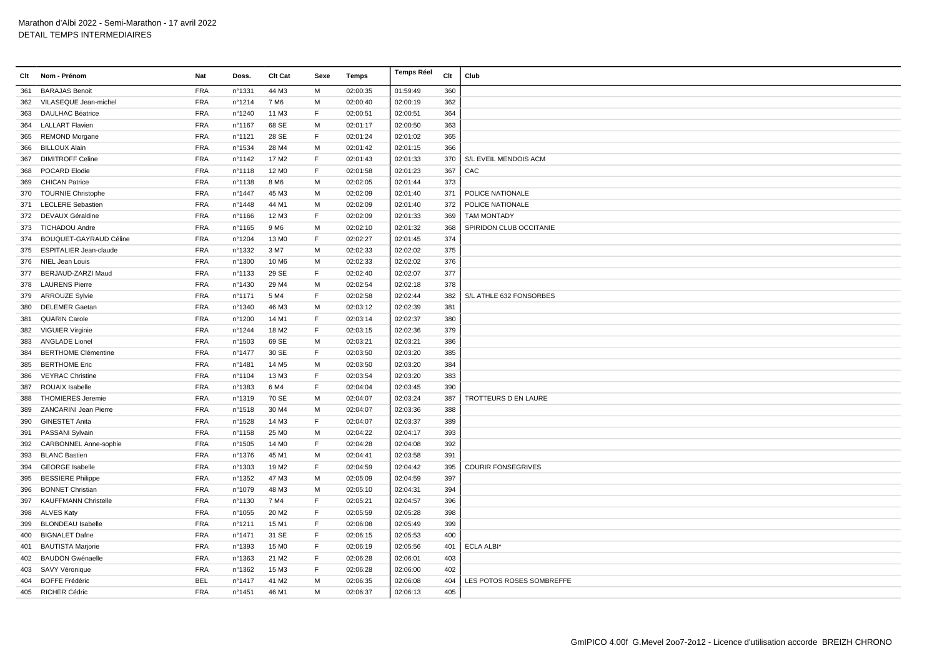| Clt | Nom - Prénom                 | Nat        | Doss.            | Clt Cat           | Sexe | Temps    | <b>Temps Réel</b> | Clt | Club                      |
|-----|------------------------------|------------|------------------|-------------------|------|----------|-------------------|-----|---------------------------|
| 361 | <b>BARAJAS Benoit</b>        | <b>FRA</b> | n°1331           | 44 M3             | M    | 02:00:35 | 01:59:49          | 360 |                           |
| 362 | VILASEQUE Jean-michel        | <b>FRA</b> | nº1214           | 7 M <sub>6</sub>  | м    | 02:00:40 | 02:00:19          | 362 |                           |
| 363 | <b>DAULHAC Béatrice</b>      | <b>FRA</b> | n°1240           | 11 M3             | F    | 02:00:51 | 02:00:51          | 364 |                           |
|     | 364 LALLART Flavien          | <b>FRA</b> | n°1167           | 68 SE             | м    | 02:01:17 | 02:00:50          | 363 |                           |
| 365 | <b>REMOND Morgane</b>        | <b>FRA</b> | nº1121           | 28 SE             | F    | 02:01:24 | 02:01:02          | 365 |                           |
| 366 | <b>BILLOUX Alain</b>         | <b>FRA</b> | nº1534           | 28 M4             | M    | 02:01:42 | 02:01:15          | 366 |                           |
| 367 | <b>DIMITROFF Celine</b>      | <b>FRA</b> | nº1142           | 17 M <sub>2</sub> | E    | 02:01:43 | 02:01:33          | 370 | S/L EVEIL MENDOIS ACM     |
| 368 | POCARD Elodie                | <b>FRA</b> | nº1118           | 12 M <sub>0</sub> | F    | 02:01:58 | 02:01:23          | 367 | CAC                       |
| 369 | <b>CHICAN Patrice</b>        | <b>FRA</b> | n°1138           | 8 M <sub>6</sub>  | м    | 02:02:05 | 02:01:44          | 373 |                           |
| 370 | <b>TOURNIE Christophe</b>    | <b>FRA</b> | n°1447           | 45 M3             | м    | 02:02:09 | 02:01:40          | 371 | POLICE NATIONALE          |
| 371 | <b>LECLERE</b> Sebastien     | <b>FRA</b> | n°1448           | 44 M1             | M    | 02:02:09 | 02:01:40          | 372 | POLICE NATIONALE          |
|     | 372 DEVAUX Géraldine         | <b>FRA</b> | n°1166           | 12 M3             | E    | 02:02:09 | 02:01:33          | 369 | <b>TAM MONTADY</b>        |
|     | 373 TICHADOU Andre           | <b>FRA</b> | n°1165           | 9 M <sub>6</sub>  | M    | 02:02:10 | 02:01:32          | 368 | SPIRIDON CLUB OCCITANIE   |
| 374 | BOUQUET-GAYRAUD Céline       | <b>FRA</b> | n°1204           | 13 M <sub>0</sub> | F    | 02:02:27 | 02:01:45          | 374 |                           |
|     | 375 ESPITALIER Jean-claude   | <b>FRA</b> | n°1332           | 3 M7              | M    | 02:02:33 | 02:02:02          | 375 |                           |
|     | 376 NIEL Jean Louis          | <b>FRA</b> | n°1300           | 10 M6             | м    | 02:02:33 | 02:02:02          | 376 |                           |
| 377 | BERJAUD-ZARZI Maud           | <b>FRA</b> | n°1133           | 29 SE             | E    | 02:02:40 | 02:02:07          | 377 |                           |
|     | 378 LAURENS Pierre           | <b>FRA</b> | nº1430           | 29 M4             | M    | 02:02:54 | 02:02:18          | 378 |                           |
| 379 | <b>ARROUZE Sylvie</b>        | <b>FRA</b> | n°1171           | 5 M4              | F    | 02:02:58 | 02:02:44          | 382 | S/L ATHLE 632 FONSORBES   |
| 380 | <b>DELEMER Gaetan</b>        | <b>FRA</b> | nº1340           | 46 M3             | M    | 02:03:12 | 02:02:39          | 381 |                           |
| 381 | <b>QUARIN Carole</b>         | <b>FRA</b> | n°1200           | 14 M1             | F    | 02:03:14 | 02:02:37          | 380 |                           |
| 382 | <b>VIGUIER Virginie</b>      | <b>FRA</b> | n°1244           | 18 M <sub>2</sub> | F    | 02:03:15 | 02:02:36          | 379 |                           |
| 383 | <b>ANGLADE Lionel</b>        | <b>FRA</b> | n°1503           | 69 SE             | м    | 02:03:21 | 02:03:21          | 386 |                           |
| 384 | <b>BERTHOME Clémentine</b>   | <b>FRA</b> | $n^{\circ}$ 1477 | 30 SE             | F.   | 02:03:50 | 02:03:20          | 385 |                           |
| 385 | <b>BERTHOME Eric</b>         | <b>FRA</b> | n°1481           | 14 M <sub>5</sub> | M    | 02:03:50 | 02:03:20          | 384 |                           |
| 386 | <b>VEYRAC Christine</b>      | <b>FRA</b> | nº1104           | 13 M3             | F    | 02:03:54 | 02:03:20          | 383 |                           |
| 387 | ROUAIX Isabelle              | <b>FRA</b> | n°1383           | 6 M4              | F    | 02:04:04 | 02:03:45          | 390 |                           |
| 388 | <b>THOMIERES Jeremie</b>     | <b>FRA</b> | nº1319           | 70 SE             | м    | 02:04:07 | 02:03:24          | 387 | TROTTEURS D EN LAURE      |
| 389 | ZANCARINI Jean Pierre        | <b>FRA</b> | n°1518           | 30 M4             | M    | 02:04:07 | 02:03:36          | 388 |                           |
| 390 | <b>GINESTET Anita</b>        | <b>FRA</b> | n°1528           | 14 M3             | F.   | 02:04:07 | 02:03:37          | 389 |                           |
| 391 | PASSANI Sylvain              | <b>FRA</b> | n°1158           | 25 M <sub>0</sub> | M    | 02:04:22 | 02:04:17          | 393 |                           |
| 392 | <b>CARBONNEL Anne-sophie</b> | <b>FRA</b> | n°1505           | 14 M <sub>0</sub> | E    | 02:04:28 | 02:04:08          | 392 |                           |
| 393 | <b>BLANC Bastien</b>         | <b>FRA</b> | n°1376           | 45 M1             | м    | 02:04:41 | 02:03:58          | 391 |                           |
| 394 | <b>GEORGE Isabelle</b>       | <b>FRA</b> | n°1303           | 19 M <sub>2</sub> | E    | 02:04:59 | 02:04:42          | 395 | <b>COURIR FONSEGRIVES</b> |
| 395 | <b>BESSIERE Philippe</b>     | <b>FRA</b> | n°1352           | 47 M3             | м    | 02:05:09 | 02:04:59          | 397 |                           |
| 396 | <b>BONNET Christian</b>      | <b>FRA</b> | n°1079           | 48 M3             | м    | 02:05:10 | 02:04:31          | 394 |                           |
| 397 | <b>KAUFFMANN Christelle</b>  | <b>FRA</b> | n°1130           | 7 M4              | F.   | 02:05:21 | 02:04:57          | 396 |                           |
| 398 | <b>ALVES Katy</b>            | <b>FRA</b> | n°1055           | 20 M <sub>2</sub> | F    | 02:05:59 | 02:05:28          | 398 |                           |
| 399 | <b>BLONDEAU</b> Isabelle     | <b>FRA</b> | n°1211           | 15 M1             | F    | 02:06:08 | 02:05:49          | 399 |                           |
| 400 | <b>BIGNALET Dafne</b>        | <b>FRA</b> | n°1471           | 31 SE             | E    | 02:06:15 | 02:05:53          | 400 |                           |
| 401 | <b>BAUTISTA Marjorie</b>     | <b>FRA</b> | n°1393           | 15 M <sub>0</sub> | F    | 02:06:19 | 02:05:56          | 401 | <b>ECLA ALBI*</b>         |
| 402 | <b>BAUDON Gwénaelle</b>      | <b>FRA</b> | n°1363           | 21 M <sub>2</sub> | F    | 02:06:28 | 02:06:01          | 403 |                           |
|     | 403 SAVY Véronique           | <b>FRA</b> | n°1362           | 15 M3             | F.   | 02:06:28 | 02:06:00          | 402 |                           |
| 404 | <b>BOFFE Frédéric</b>        | <b>BEL</b> | n°1417           | 41 M2             | м    | 02:06:35 | 02:06:08          | 404 | LES POTOS ROSES SOMBREFFE |
|     | 405 RICHER Cédric            | <b>FRA</b> | n°1451           | 46 M1             | M    | 02:06:37 | 02:06:13          | 405 |                           |
|     |                              |            |                  |                   |      |          |                   |     |                           |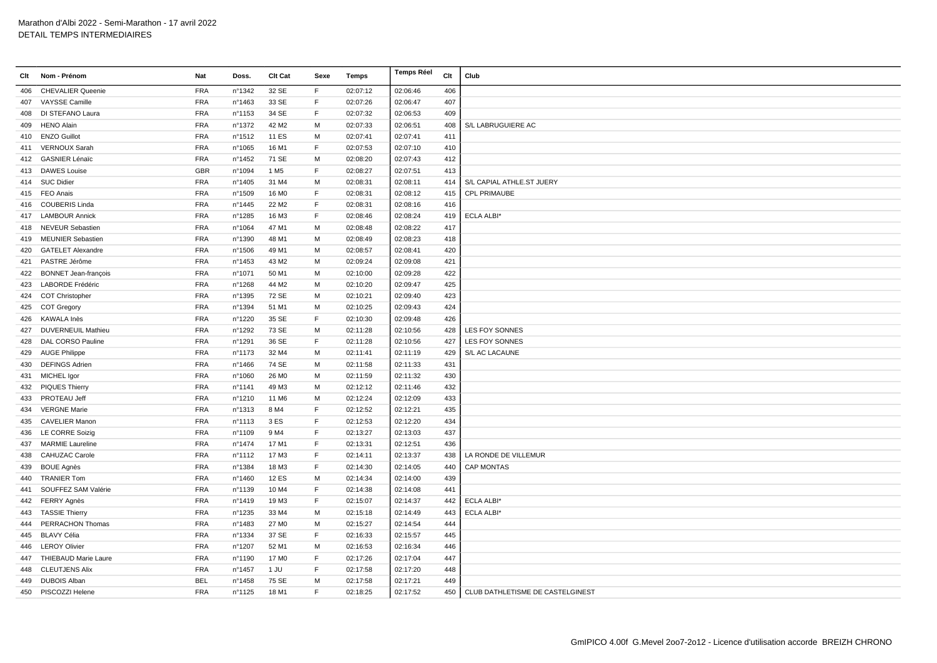| Clt | Nom - Prénom                | Nat        | Doss.            | Clt Cat           | Sexe        | Temps    | Temps Réel | Clt | Club                             |
|-----|-----------------------------|------------|------------------|-------------------|-------------|----------|------------|-----|----------------------------------|
| 406 | <b>CHEVALIER Queenie</b>    | <b>FRA</b> | n°1342           | 32 SE             | F.          | 02:07:12 | 02:06:46   | 406 |                                  |
| 407 | <b>VAYSSE Camille</b>       | <b>FRA</b> | n°1463           | 33 SE             | F           | 02:07:26 | 02:06:47   | 407 |                                  |
| 408 | DI STEFANO Laura            | <b>FRA</b> | n°1153           | 34 SE             | F           | 02:07:32 | 02:06:53   | 409 |                                  |
| 409 | <b>HENO Alain</b>           | <b>FRA</b> | n°1372           | 42 M <sub>2</sub> | м           | 02:07:33 | 02:06:51   | 408 | S/L LABRUGUIERE AC               |
|     | 410 ENZO Guillot            | <b>FRA</b> | n°1512           | <b>11 ES</b>      | M           | 02:07:41 | 02:07:41   | 411 |                                  |
|     | 411 VERNOUX Sarah           | <b>FRA</b> | n°1065           | 16 M1             | F           | 02:07:53 | 02:07:10   | 410 |                                  |
|     | 412 GASNIER Lénaïc          | <b>FRA</b> | n°1452           | 71 SE             | М           | 02:08:20 | 02:07:43   | 412 |                                  |
| 413 | <b>DAWES Louise</b>         | <b>GBR</b> | n°1094           | 1 M <sub>5</sub>  | E           | 02:08:27 | 02:07:51   | 413 |                                  |
|     | 414 SUC Didier              | <b>FRA</b> | n°1405           | 31 M4             | M           | 02:08:31 | 02:08:11   | 414 | S/L CAPIAL ATHLE.ST JUERY        |
|     | 415 FEO Anais               | <b>FRA</b> | n°1509           | 16 M <sub>0</sub> | $\mathsf F$ | 02:08:31 | 02:08:12   | 415 | <b>CPL PRIMAUBE</b>              |
| 416 | <b>COUBERIS Linda</b>       | <b>FRA</b> | n°1445           | 22 M <sub>2</sub> | F           | 02:08:31 | 02:08:16   | 416 |                                  |
| 417 | <b>LAMBOUR Annick</b>       | <b>FRA</b> | n°1285           | 16 M3             | F           | 02:08:46 | 02:08:24   | 419 | ECLA ALBI*                       |
| 418 | <b>NEVEUR Sebastien</b>     | <b>FRA</b> | n°1064           | 47 M1             | M           | 02:08:48 | 02:08:22   | 417 |                                  |
| 419 | <b>MEUNIER Sebastien</b>    | <b>FRA</b> | n°1390           | 48 M1             | M           | 02:08:49 | 02:08:23   | 418 |                                  |
| 420 | <b>GATELET Alexandre</b>    | <b>FRA</b> | n°1506           | 49 M1             | М           | 02:08:57 | 02:08:41   | 420 |                                  |
| 421 | PASTRE Jérôme               | <b>FRA</b> | n°1453           | 43 M2             | М           | 02:09:24 | 02:09:08   | 421 |                                  |
| 422 | <b>BONNET Jean-françois</b> | <b>FRA</b> | n°1071           | 50 M1             | М           | 02:10:00 | 02:09:28   | 422 |                                  |
| 423 | LABORDE Frédéric            | <b>FRA</b> | nº1268           | 44 M <sub>2</sub> | M           | 02:10:20 | 02:09:47   | 425 |                                  |
| 424 | <b>COT Christopher</b>      | <b>FRA</b> | n°1395           | 72 SE             | М           | 02:10:21 | 02:09:40   | 423 |                                  |
| 425 | <b>COT Gregory</b>          | <b>FRA</b> | n°1394           | 51 M1             | М           | 02:10:25 | 02:09:43   | 424 |                                  |
| 426 | KAWALA Inès                 | <b>FRA</b> | n°1220           | 35 SE             | F.          | 02:10:30 | 02:09:48   | 426 |                                  |
| 427 | <b>DUVERNEUIL Mathieu</b>   | <b>FRA</b> | n°1292           | 73 SE             | M           | 02:11:28 | 02:10:56   | 428 | LES FOY SONNES                   |
| 428 | DAL CORSO Pauline           | <b>FRA</b> | n°1291           | 36 SE             | F           | 02:11:28 | 02:10:56   | 427 | LES FOY SONNES                   |
|     | 429 AUGE Philippe           | <b>FRA</b> | n°1173           | 32 M4             | M           | 02:11:41 | 02:11:19   | 429 | S/L AC LACAUNE                   |
| 430 | <b>DEFINGS Adrien</b>       | <b>FRA</b> | n°1466           | 74 SE             | М           | 02:11:58 | 02:11:33   | 431 |                                  |
|     | 431 MICHEL Igor             | <b>FRA</b> | n°1060           | 26 M <sub>0</sub> | М           | 02:11:59 | 02:11:32   | 430 |                                  |
| 432 | <b>PIQUES Thierry</b>       | <b>FRA</b> | n°1141           | 49 M3             | M           | 02:12:12 | 02:11:46   | 432 |                                  |
| 433 | PROTEAU Jeff                | <b>FRA</b> | n°1210           | 11 M6             | М           | 02:12:24 | 02:12:09   | 433 |                                  |
|     | 434 VERGNE Marie            | <b>FRA</b> | $n^{\circ}$ 1313 | 8 M4              | F           | 02:12:52 | 02:12:21   | 435 |                                  |
| 435 | <b>CAVELIER Manon</b>       | <b>FRA</b> | nº1113           | 3 ES              | $\mathsf F$ | 02:12:53 | 02:12:20   | 434 |                                  |
|     | 436 LE CORRE Soizig         | <b>FRA</b> | n°1109           | 9 M4              | F           | 02:13:27 | 02:13:03   | 437 |                                  |
| 437 | <b>MARMIE Laureline</b>     | <b>FRA</b> | n°1474           | 17 M1             | F           | 02:13:31 | 02:12:51   | 436 |                                  |
| 438 | <b>CAHUZAC Carole</b>       | <b>FRA</b> | n°1112           | 17 M3             | F           | 02:14:11 | 02:13:37   | 438 | LA RONDE DE VILLEMUR             |
| 439 | <b>BOUE Agnès</b>           | <b>FRA</b> | n°1384           | 18 M3             | F           | 02:14:30 | 02:14:05   | 440 | <b>CAP MONTAS</b>                |
| 440 | <b>TRANIER Tom</b>          | <b>FRA</b> | n°1460           | 12 ES             | M           | 02:14:34 | 02:14:00   | 439 |                                  |
| 441 | SOUFFEZ SAM Valérie         | <b>FRA</b> | n°1139           | 10 M4             | F           | 02:14:38 | 02:14:08   | 441 |                                  |
|     | 442 FERRY Agnès             | <b>FRA</b> | n°1419           | 19 M3             | F           | 02:15:07 | 02:14:37   | 442 | <b>ECLA ALBI*</b>                |
| 443 | <b>TASSIE Thierry</b>       | <b>FRA</b> | n°1235           | 33 M4             | M           | 02:15:18 | 02:14:49   | 443 | ECLA ALBI*                       |
| 444 | PERRACHON Thomas            | <b>FRA</b> | n°1483           | 27 M <sub>0</sub> | М           | 02:15:27 | 02:14:54   | 444 |                                  |
| 445 | <b>BLAVY Célia</b>          | <b>FRA</b> | n°1334           | 37 SE             | F           | 02:16:33 | 02:15:57   | 445 |                                  |
| 446 | <b>LEROY Olivier</b>        | <b>FRA</b> | n°1207           | 52 M1             | M           | 02:16:53 | 02:16:34   | 446 |                                  |
| 447 | <b>THIEBAUD Marie Laure</b> | <b>FRA</b> | n°1190           | 17 M <sub>0</sub> | E           | 02:17:26 | 02:17:04   | 447 |                                  |
| 448 | <b>CLEUTJENS Alix</b>       | <b>FRA</b> | n°1457           | 1 JU              | F           | 02:17:58 | 02:17:20   | 448 |                                  |
| 449 | <b>DUBOIS Alban</b>         | <b>BEL</b> | n°1458           | 75 SE             | М           | 02:17:58 | 02:17:21   | 449 |                                  |
|     | 450 PISCOZZI Helene         | <b>FRA</b> | nº1125           | 18 M1             | F           | 02:18:25 | 02:17:52   | 450 | CLUB DATHLETISME DE CASTELGINEST |
|     |                             |            |                  |                   |             |          |            |     |                                  |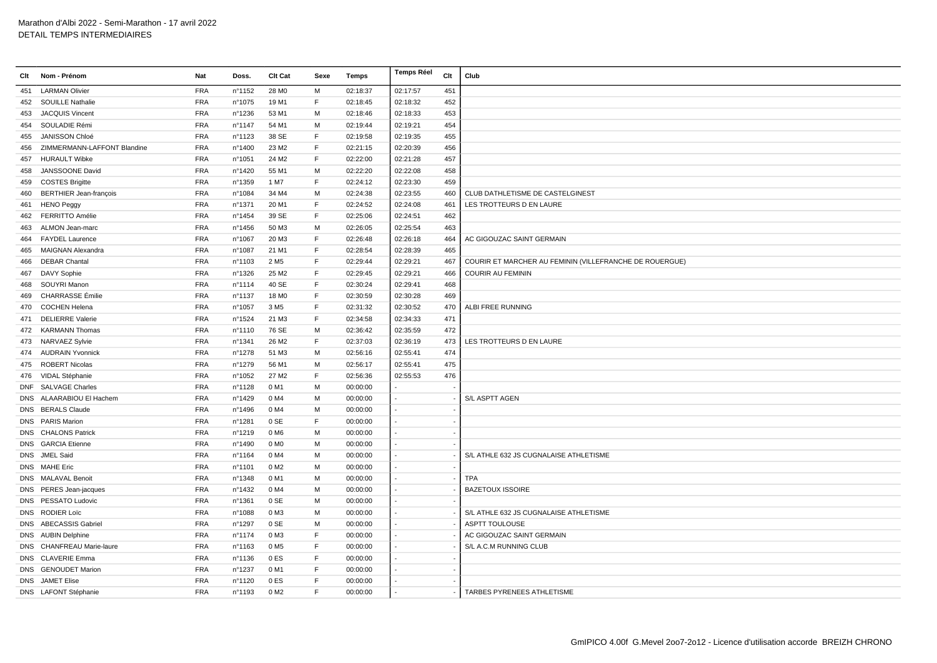| Clt | Nom - Prénom                  | Nat        | Doss.  | Clt Cat           | Sexe        | Temps    | <b>Temps Réel</b> | Clt | Club                                                    |
|-----|-------------------------------|------------|--------|-------------------|-------------|----------|-------------------|-----|---------------------------------------------------------|
| 451 | <b>LARMAN Olivier</b>         | <b>FRA</b> | n°1152 | 28 M <sub>0</sub> | M           | 02:18:37 | 02:17:57          | 451 |                                                         |
| 452 | <b>SOUILLE Nathalie</b>       | <b>FRA</b> | n°1075 | 19 M1             | F           | 02:18:45 | 02:18:32          | 452 |                                                         |
| 453 | <b>JACQUIS Vincent</b>        | <b>FRA</b> | n°1236 | 53 M1             | M           | 02:18:46 | 02:18:33          | 453 |                                                         |
| 454 | SOULADIE Rémi                 | <b>FRA</b> | nº1147 | 54 M1             | м           | 02:19:44 | 02:19:21          | 454 |                                                         |
| 455 | <b>JANISSON Chloé</b>         | <b>FRA</b> | n°1123 | 38 SE             | E           | 02:19:58 | 02:19:35          | 455 |                                                         |
| 456 | ZIMMERMANN-LAFFONT Blandine   | <b>FRA</b> | n°1400 | 23 M2             | F           | 02:21:15 | 02:20:39          | 456 |                                                         |
| 457 | <b>HURAULT Wibke</b>          | <b>FRA</b> | n°1051 | 24 M <sub>2</sub> | F.          | 02:22:00 | 02:21:28          | 457 |                                                         |
| 458 | JANSSOONE David               | <b>FRA</b> | n°1420 | 55 M1             | M           | 02:22:20 | 02:22:08          | 458 |                                                         |
| 459 | <b>COSTES Brigitte</b>        | <b>FRA</b> | n°1359 | 1 M7              | $\mathsf F$ | 02:24:12 | 02:23:30          | 459 |                                                         |
| 460 | <b>BERTHIER Jean-françois</b> | FRA        | n°1084 | 34 M4             | M           | 02:24:38 | 02:23:55          | 460 | CLUB DATHLETISME DE CASTELGINEST                        |
| 461 | <b>HENO Peggy</b>             | <b>FRA</b> | n°1371 | 20 M1             | F           | 02:24:52 | 02:24:08          | 461 | LES TROTTEURS D EN LAURE                                |
| 462 | FERRITTO Amélie               | <b>FRA</b> | n°1454 | 39 SE             | F           | 02:25:06 | 02:24:51          | 462 |                                                         |
| 463 | ALMON Jean-marc               | FRA        | n°1456 | 50 M3             | M           | 02:26:05 | 02:25:54          | 463 |                                                         |
| 464 | <b>FAYDEL Laurence</b>        | <b>FRA</b> | n°1067 | 20 M3             | F           | 02:26:48 | 02:26:18          | 464 | AC GIGOUZAC SAINT GERMAIN                               |
| 465 | MAIGNAN Alexandra             | <b>FRA</b> | n°1087 | 21 M1             | $\mathsf F$ | 02:28:54 | 02:28:39          | 465 |                                                         |
| 466 | <b>DEBAR Chantal</b>          | <b>FRA</b> | n°1103 | 2 M <sub>5</sub>  | E           | 02:29:44 | 02:29:21          | 467 | COURIR ET MARCHER AU FEMININ (VILLEFRANCHE DE ROUERGUE) |
| 467 | <b>DAVY Sophie</b>            | <b>FRA</b> | n°1326 | 25 M2             | F           | 02:29:45 | 02:29:21          | 466 | <b>COURIR AU FEMININ</b>                                |
| 468 | SOUYRI Manon                  | <b>FRA</b> | n°1114 | 40 SE             | F           | 02:30:24 | 02:29:41          | 468 |                                                         |
| 469 | <b>CHARRASSE</b> Émilie       | <b>FRA</b> | n°1137 | 18 M <sub>0</sub> | F           | 02:30:59 | 02:30:28          | 469 |                                                         |
| 470 | <b>COCHEN Helena</b>          | <b>FRA</b> | nº1057 | 3 M <sub>5</sub>  | $\mathsf F$ | 02:31:32 | 02:30:52          | 470 | ALBI FREE RUNNING                                       |
| 471 | <b>DELIERRE Valerie</b>       | <b>FRA</b> | n°1524 | 21 M3             | F           | 02:34:58 | 02:34:33          | 471 |                                                         |
|     | 472 KARMANN Thomas            | <b>FRA</b> | n°1110 | 76 SE             | M           | 02:36:42 | 02:35:59          | 472 |                                                         |
| 473 | NARVAEZ Sylvie                | <b>FRA</b> | n°1341 | 26 M <sub>2</sub> | F           | 02:37:03 | 02:36:19          | 473 | LES TROTTEURS D EN LAURE                                |
|     | 474 AUDRAIN Yvonnick          | <b>FRA</b> | n°1278 | 51 M3             | M           | 02:56:16 | 02:55:41          | 474 |                                                         |
| 475 | <b>ROBERT Nicolas</b>         | <b>FRA</b> | n°1279 | 56 M1             | M           | 02:56:17 | 02:55:41          | 475 |                                                         |
| 476 | VIDAL Stéphanie               | <b>FRA</b> | n°1052 | 27 M <sub>2</sub> | $\mathsf F$ | 02:56:36 | 02:55:53          | 476 |                                                         |
|     | DNF SALVAGE Charles           | <b>FRA</b> | n°1128 | 0 M1              | м           | 00:00:00 |                   |     |                                                         |
|     | DNS ALAARABIOU EI Hachem      | <b>FRA</b> | n°1429 | 0 M4              | M           | 00:00:00 |                   |     | S/L ASPTT AGEN                                          |
|     | DNS BERALS Claude             | <b>FRA</b> | n°1496 | 0 M4              | M           | 00:00:00 |                   |     |                                                         |
|     | DNS PARIS Marion              | <b>FRA</b> | n°1281 | 0 SE              | F           | 00:00:00 |                   |     |                                                         |
|     | DNS CHALONS Patrick           | <b>FRA</b> | n°1219 | 0 M <sub>6</sub>  | м           | 00:00:00 |                   |     |                                                         |
|     | <b>DNS</b> GARCIA Etienne     | <b>FRA</b> | nº1490 | 0 M <sub>O</sub>  | M           | 00:00:00 |                   |     |                                                         |
|     | DNS JMEL Said                 | <b>FRA</b> | nº1164 | 0 M4              | M           | 00:00:00 |                   |     | S/L ATHLE 632 JS CUGNALAISE ATHLETISME                  |
|     | DNS MAHE Eric                 | <b>FRA</b> | n°1101 | 0 M <sub>2</sub>  | M           | 00:00:00 |                   |     |                                                         |
|     | DNS MALAVAL Benoit            | <b>FRA</b> | n°1348 | 0 M1              | M           | 00:00:00 |                   |     | <b>TPA</b>                                              |
|     | DNS PERES Jean-jacques        | <b>FRA</b> | n°1432 | 0 M4              | м           | 00:00:00 |                   |     | <b>BAZETOUX ISSOIRE</b>                                 |
|     | DNS PESSATO Ludovic           | <b>FRA</b> | n°1361 | 0 SE              | м           | 00:00:00 |                   |     |                                                         |
|     | DNS RODIER Loïc               | <b>FRA</b> | n°1088 | 0 M3              | м           | 00:00:00 |                   |     | S/L ATHLE 632 JS CUGNALAISE ATHLETISME                  |
|     | DNS ABECASSIS Gabriel         | <b>FRA</b> | nº1297 | 0 SE              | M           | 00:00:00 |                   |     | ASPTT TOULOUSE                                          |
|     | DNS AUBIN Delphine            | <b>FRA</b> | n°1174 | 0 M3              | E           | 00:00:00 |                   |     | AC GIGOUZAC SAINT GERMAIN                               |
|     | DNS CHANFREAU Marie-laure     | <b>FRA</b> | n°1163 | 0 M <sub>5</sub>  | F           | 00:00:00 |                   |     | S/L A.C.M RUNNING CLUB                                  |
|     | DNS CLAVERIE Emma             | <b>FRA</b> | n°1136 | 0ES               | $\mathsf F$ | 00:00:00 |                   |     |                                                         |
|     | DNS GENOUDET Marion           | <b>FRA</b> | n°1237 | 0 M1              | E           | 00:00:00 |                   |     |                                                         |
|     | DNS JAMET Elise               | <b>FRA</b> | n°1120 | 0ES               | E           | 00:00:00 |                   |     |                                                         |
|     | DNS LAFONT Stéphanie          | <b>FRA</b> | n°1193 | 0 M <sub>2</sub>  | E           | 00:00:00 |                   |     | TARBES PYRENEES ATHLETISME                              |